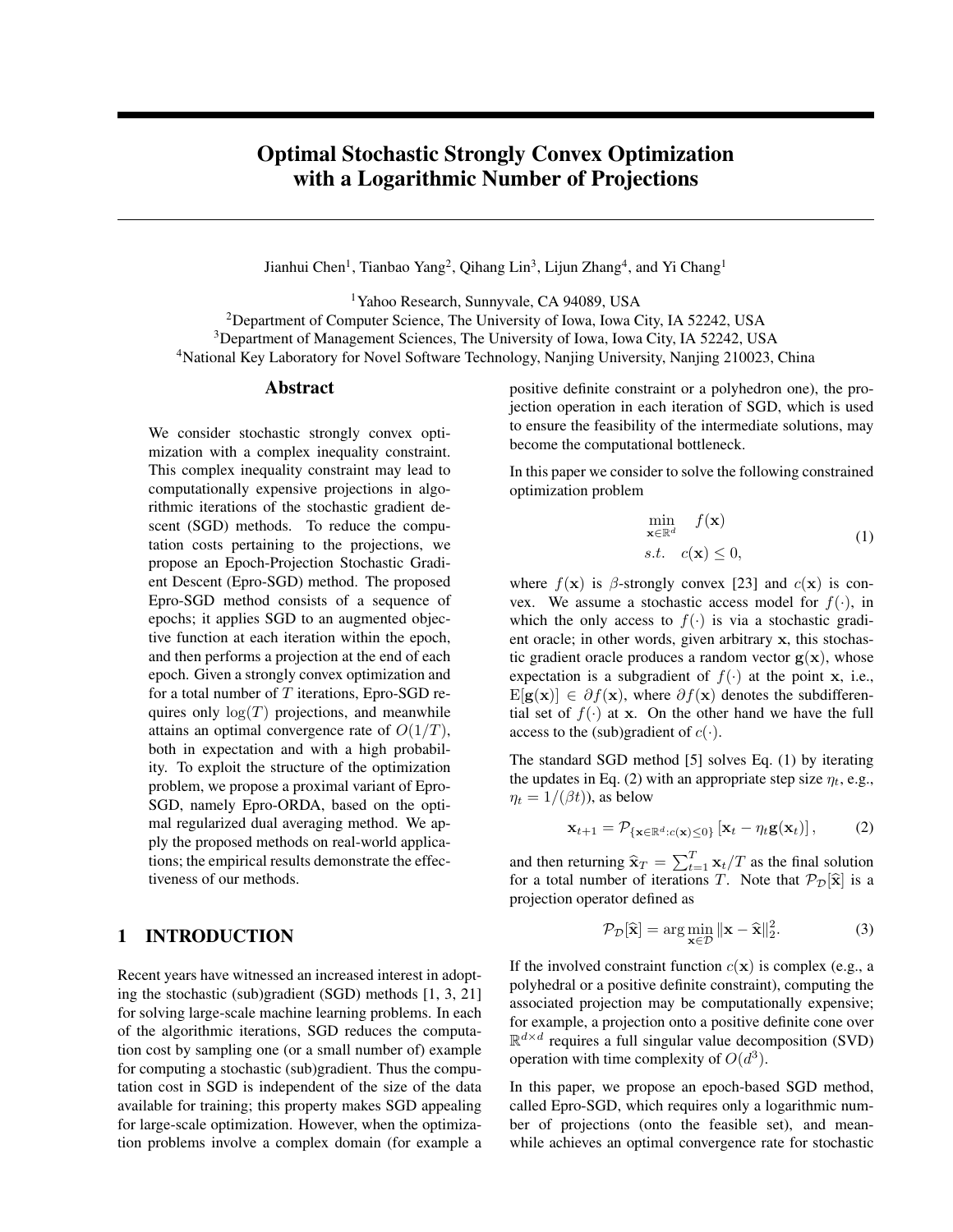# Optimal Stochastic Strongly Convex Optimization with a Logarithmic Number of Projections

Jianhui Chen<sup>1</sup>, Tianbao Yang<sup>2</sup>, Qihang Lin<sup>3</sup>, Lijun Zhang<sup>4</sup>, and Yi Chang<sup>1</sup>

Yahoo Research, Sunnyvale, CA 94089, USA Department of Computer Science, The University of Iowa, Iowa City, IA 52242, USA Department of Management Sciences, The University of Iowa, Iowa City, IA 52242, USA National Key Laboratory for Novel Software Technology, Nanjing University, Nanjing 210023, China

#### Abstract

We consider stochastic strongly convex optimization with a complex inequality constraint. This complex inequality constraint may lead to computationally expensive projections in algorithmic iterations of the stochastic gradient descent (SGD) methods. To reduce the computation costs pertaining to the projections, we propose an Epoch-Projection Stochastic Gradient Descent (Epro-SGD) method. The proposed Epro-SGD method consists of a sequence of epochs; it applies SGD to an augmented objective function at each iteration within the epoch, and then performs a projection at the end of each epoch. Given a strongly convex optimization and for a total number of  $T$  iterations, Epro-SGD requires only  $log(T)$  projections, and meanwhile attains an optimal convergence rate of  $O(1/T)$ , both in expectation and with a high probability. To exploit the structure of the optimization problem, we propose a proximal variant of Epro-SGD, namely Epro-ORDA, based on the optimal regularized dual averaging method. We apply the proposed methods on real-world applications; the empirical results demonstrate the effectiveness of our methods.

## 1 INTRODUCTION

Recent years have witnessed an increased interest in adopting the stochastic (sub)gradient (SGD) methods [1, 3, 21] for solving large-scale machine learning problems. In each of the algorithmic iterations, SGD reduces the computation cost by sampling one (or a small number of) example for computing a stochastic (sub)gradient. Thus the computation cost in SGD is independent of the size of the data available for training; this property makes SGD appealing for large-scale optimization. However, when the optimization problems involve a complex domain (for example a

positive definite constraint or a polyhedron one), the projection operation in each iteration of SGD, which is used to ensure the feasibility of the intermediate solutions, may become the computational bottleneck.

In this paper we consider to solve the following constrained optimization problem

$$
\min_{\mathbf{x} \in \mathbb{R}^d} f(\mathbf{x})
$$
\n
$$
s.t. \quad c(\mathbf{x}) \le 0,
$$
\n(1)

where  $f(\mathbf{x})$  is  $\beta$ -strongly convex [23] and  $c(\mathbf{x})$  is convex. We assume a stochastic access model for  $f(.)$ , in which the only access to  $f(\cdot)$  is via a stochastic gradient oracle; in other words, given arbitrary x, this stochastic gradient oracle produces a random vector  $g(x)$ , whose expectation is a subgradient of  $f(\cdot)$  at the point x, i.e.,  $E[g(x)] \in \partial f(x)$ , where  $\partial f(x)$  denotes the subdifferential set of  $f(\cdot)$  at x. On the other hand we have the full access to the (sub)gradient of  $c(\cdot)$ .

The standard SGD method [5] solves Eq. (1) by iterating the updates in Eq. (2) with an appropriate step size  $\eta_t$ , e.g.,  $\eta_t = 1/(\beta t)$ , as below

$$
\mathbf{x}_{t+1} = \mathcal{P}_{\{\mathbf{x} \in \mathbb{R}^d : c(\mathbf{x}) \le 0\}}\left[\mathbf{x}_t - \eta_t \mathbf{g}(\mathbf{x}_t)\right],\tag{2}
$$

and then returning  $\hat{\mathbf{x}}_T = \sum_{t=1}^T \mathbf{x}_t/T$  as the final solution<br>for a total number of iterations T. Note that  $\mathcal{D}_\text{c}[\hat{\mathbf{x}}]$  is a for a total number of iterations T. Note that  $\mathcal{P}_{\mathcal{D}}[\hat{\mathbf{x}}]$  is a projection operator defined as

$$
\mathcal{P}_{\mathcal{D}}[\widehat{\mathbf{x}}] = \arg\min_{\mathbf{x} \in \mathcal{D}} \|\mathbf{x} - \widehat{\mathbf{x}}\|_2^2.
$$
 (3)

If the involved constraint function  $c(\mathbf{x})$  is complex (e.g., a polyhedral or a positive definite constraint), computing the associated projection may be computationally expensive; for example, a projection onto a positive definite cone over  $\mathbb{R}^{d \times d}$  requires a full singular value decomposition (SVD) operation with time complexity of  $O(d^3)$ .

In this paper, we propose an epoch-based SGD method, called Epro-SGD, which requires only a logarithmic number of projections (onto the feasible set), and meanwhile achieves an optimal convergence rate for stochastic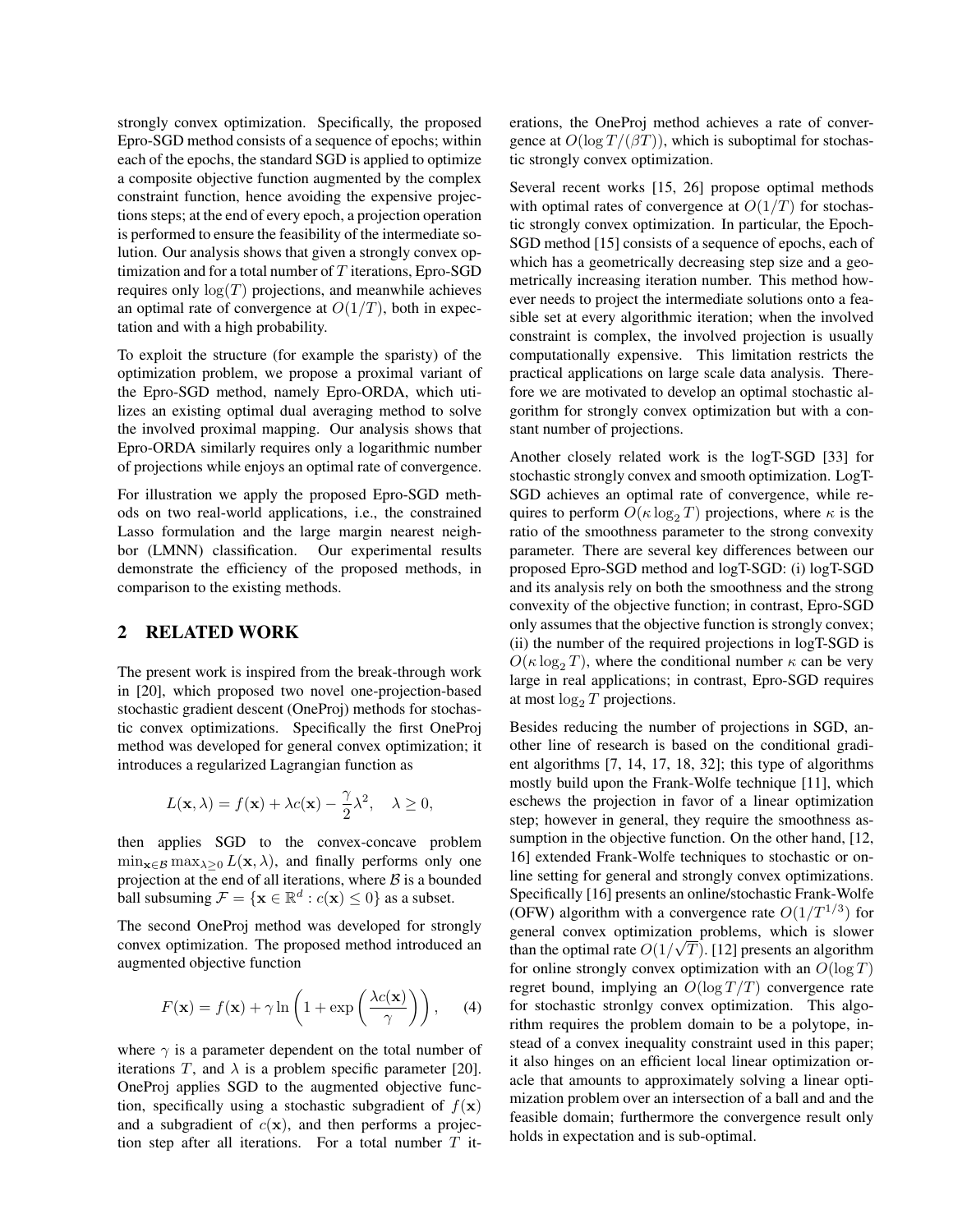strongly convex optimization. Specifically, the proposed Epro-SGD method consists of a sequence of epochs; within each of the epochs, the standard SGD is applied to optimize a composite objective function augmented by the complex constraint function, hence avoiding the expensive projections steps; at the end of every epoch, a projection operation is performed to ensure the feasibility of the intermediate solution. Our analysis shows that given a strongly convex optimization and for a total number of  $T$  iterations, Epro-SGD requires only  $log(T)$  projections, and meanwhile achieves an optimal rate of convergence at  $O(1/T)$ , both in expectation and with a high probability.

To exploit the structure (for example the sparisty) of the optimization problem, we propose a proximal variant of the Epro-SGD method, namely Epro-ORDA, which utilizes an existing optimal dual averaging method to solve the involved proximal mapping. Our analysis shows that Epro-ORDA similarly requires only a logarithmic number of projections while enjoys an optimal rate of convergence.

For illustration we apply the proposed Epro-SGD methods on two real-world applications, i.e., the constrained Lasso formulation and the large margin nearest neighbor (LMNN) classification. Our experimental results demonstrate the efficiency of the proposed methods, in comparison to the existing methods.

## 2 RELATED WORK

The present work is inspired from the break-through work in [20], which proposed two novel one-projection-based stochastic gradient descent (OneProj) methods for stochastic convex optimizations. Specifically the first OneProj method was developed for general convex optimization; it introduces a regularized Lagrangian function as

$$
L(\mathbf{x}, \lambda) = f(\mathbf{x}) + \lambda c(\mathbf{x}) - \frac{\gamma}{2} \lambda^2, \quad \lambda \ge 0,
$$

then applies SGD to the convex-concave problem  $\min_{\mathbf{x} \in \mathcal{B}} \max_{\lambda \geq 0} L(\mathbf{x}, \lambda)$ , and finally performs only one projection at the end of all iterations, where  $B$  is a bounded ball subsuming  $\mathcal{F} = \{ \mathbf{x} \in \mathbb{R}^d : c(\mathbf{x}) \leq 0 \}$  as a subset.

The second OneProj method was developed for strongly convex optimization. The proposed method introduced an augmented objective function

$$
F(\mathbf{x}) = f(\mathbf{x}) + \gamma \ln\left(1 + \exp\left(\frac{\lambda c(\mathbf{x})}{\gamma}\right)\right), \quad (4)
$$

where  $\gamma$  is a parameter dependent on the total number of iterations T, and  $\lambda$  is a problem specific parameter [20]. OneProj applies SGD to the augmented objective function, specifically using a stochastic subgradient of  $f(\mathbf{x})$ and a subgradient of  $c(\mathbf{x})$ , and then performs a projection step after all iterations. For a total number  $T$  iterations, the OneProj method achieves a rate of convergence at  $O(\log T/(\beta T))$ , which is suboptimal for stochastic strongly convex optimization.

Several recent works [15, 26] propose optimal methods with optimal rates of convergence at  $O(1/T)$  for stochastic strongly convex optimization. In particular, the Epoch-SGD method [15] consists of a sequence of epochs, each of which has a geometrically decreasing step size and a geometrically increasing iteration number. This method however needs to project the intermediate solutions onto a feasible set at every algorithmic iteration; when the involved constraint is complex, the involved projection is usually computationally expensive. This limitation restricts the practical applications on large scale data analysis. Therefore we are motivated to develop an optimal stochastic algorithm for strongly convex optimization but with a constant number of projections.

Another closely related work is the logT-SGD [33] for stochastic strongly convex and smooth optimization. LogT-SGD achieves an optimal rate of convergence, while requires to perform  $O(\kappa \log_2 T)$  projections, where  $\kappa$  is the ratio of the smoothness parameter to the strong convexity parameter. There are several key differences between our proposed Epro-SGD method and logT-SGD: (i) logT-SGD and its analysis rely on both the smoothness and the strong convexity of the objective function; in contrast, Epro-SGD only assumes that the objective function is strongly convex; (ii) the number of the required projections in logT-SGD is  $O(\kappa \log_2 T)$ , where the conditional number  $\kappa$  can be very large in real applications; in contrast, Epro-SGD requires at most  $\log_2 T$  projections.

Besides reducing the number of projections in SGD, another line of research is based on the conditional gradient algorithms [7, 14, 17, 18, 32]; this type of algorithms mostly build upon the Frank-Wolfe technique [11], which eschews the projection in favor of a linear optimization step; however in general, they require the smoothness assumption in the objective function. On the other hand, [12, 16] extended Frank-Wolfe techniques to stochastic or online setting for general and strongly convex optimizations. Specifically [16] presents an online/stochastic Frank-Wolfe (OFW) algorithm with a convergence rate  $O(1/T^{1/3})$  for general convex optimization problems, which is slower than the optimal rate  $O(1/\sqrt{T})$ . [12] presents an algorithm for online strongly convex optimization with an  $O(\log T)$ regret bound, implying an  $O(\log T/T)$  convergence rate for stochastic stronlgy convex optimization. This algorithm requires the problem domain to be a polytope, instead of a convex inequality constraint used in this paper; it also hinges on an efficient local linear optimization oracle that amounts to approximately solving a linear optimization problem over an intersection of a ball and and the feasible domain; furthermore the convergence result only holds in expectation and is sub-optimal.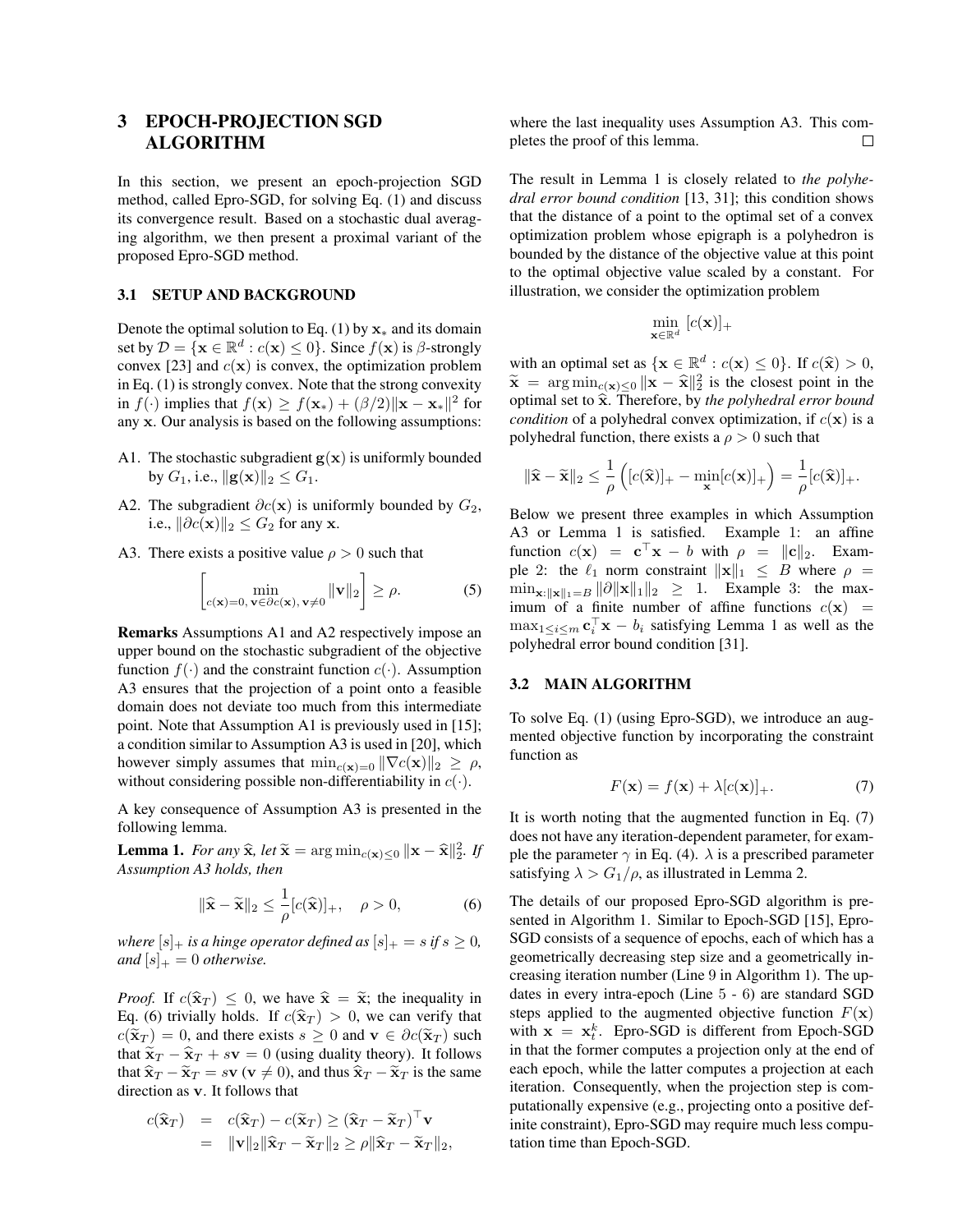## 3 EPOCH-PROJECTION SGD ALGORITHM

In this section, we present an epoch-projection SGD method, called Epro-SGD, for solving Eq. (1) and discuss its convergence result. Based on a stochastic dual averaging algorithm, we then present a proximal variant of the proposed Epro-SGD method.

#### 3.1 SETUP AND BACKGROUND

Denote the optimal solution to Eq. (1) by  $x_*$  and its domain set by  $\mathcal{D} = \{ \mathbf{x} \in \mathbb{R}^d : c(\mathbf{x}) \leq 0 \}$ . Since  $f(\mathbf{x})$  is  $\beta$ -strongly convex [23] and  $c(\mathbf{x})$  is convex, the optimization problem in Eq. (1) is strongly convex. Note that the strong convexity in  $f(\cdot)$  implies that  $f(\mathbf{x}) \ge f(\mathbf{x}_{*}) + (\beta/2) ||\mathbf{x} - \mathbf{x}_{*}||^2$  for any x. Our analysis is based on the following assumptions:

- A1. The stochastic subgradient  $g(x)$  is uniformly bounded by  $G_1$ , i.e.,  $||\mathbf{g}(\mathbf{x})||_2 \leq G_1$ .
- A2. The subgradient  $\partial c(\mathbf{x})$  is uniformly bounded by  $G_2$ , i.e.,  $\|\partial c(\mathbf{x})\|_2 \leq G_2$  for any x.
- A3. There exists a positive value  $\rho > 0$  such that

$$
\left[\min_{c(\mathbf{x})=0, \,\mathbf{v}\in\partial c(\mathbf{x}),\,\mathbf{v}\neq 0} \|\mathbf{v}\|_2\right] \ge \rho. \tag{5}
$$

Remarks Assumptions A1 and A2 respectively impose an upper bound on the stochastic subgradient of the objective function  $f(.)$  and the constraint function  $c(.)$ . Assumption A3 ensures that the projection of a point onto a feasible domain does not deviate too much from this intermediate point. Note that Assumption A1 is previously used in [15]; a condition similar to Assumption A3 is used in [20], which however simply assumes that  $\min_{c(\mathbf{x})=0} ||\nabla c(\mathbf{x})||_2 \geq \rho$ , without considering possible non-differentiability in  $c(\cdot)$ .

A key consequence of Assumption A3 is presented in the following lemma.

**Lemma 1.** For any  $\hat{\mathbf{x}}$ , let  $\tilde{\mathbf{x}} = \arg \min_{c(\mathbf{x}) \leq 0} ||\mathbf{x} - \hat{\mathbf{x}}||_2^2$ . If *Assumption A3 holds, then*

$$
\|\widehat{\mathbf{x}} - \widetilde{\mathbf{x}}\|_2 \le \frac{1}{\rho} [c(\widehat{\mathbf{x}})]_+, \quad \rho > 0,
$$
 (6)

*where*  $[s]_+$  *is a hinge operator defined as*  $[s]_+ = s$  *if*  $s \geq 0$ *, and*  $[s]_+ = 0$  *otherwise.* 

*Proof.* If  $c(\hat{\mathbf{x}}_T) \leq 0$ , we have  $\hat{\mathbf{x}} = \tilde{\mathbf{x}}$ ; the inequality in Eq. (6) trivially holds. If  $c(\hat{\mathbf{x}}_T) > 0$ , we can verify that  $c(\tilde{\mathbf{x}}_T) = 0$ , and there exists  $s \geq 0$  and  $\mathbf{v} \in \partial c(\tilde{\mathbf{x}}_T)$  such that  $\tilde{\mathbf{x}}_T - \hat{\mathbf{x}}_T + s\mathbf{v} = 0$  (using duality theory). It follows that  $\hat{\mathbf{x}}_T - \tilde{\mathbf{x}}_T = s\mathbf{v}$  ( $\mathbf{v} \neq 0$ ), and thus  $\hat{\mathbf{x}}_T - \tilde{\mathbf{x}}_T$  is the same direction as v. It follows that

$$
c(\widehat{\mathbf{x}}_T) = c(\widehat{\mathbf{x}}_T) - c(\widetilde{\mathbf{x}}_T) \geq (\widehat{\mathbf{x}}_T - \widetilde{\mathbf{x}}_T)^{\top} \mathbf{v}
$$
  
=  $\|\mathbf{v}\|_2 \|\widehat{\mathbf{x}}_T - \widetilde{\mathbf{x}}_T\|_2 \geq \rho \|\widehat{\mathbf{x}}_T - \widetilde{\mathbf{x}}_T\|_2$ ,

where the last inequality uses Assumption A3. This completes the proof of this lemma.  $\Box$ 

The result in Lemma 1 is closely related to *the polyhedral error bound condition* [13, 31]; this condition shows that the distance of a point to the optimal set of a convex optimization problem whose epigraph is a polyhedron is bounded by the distance of the objective value at this point to the optimal objective value scaled by a constant. For illustration, we consider the optimization problem

$$
\min_{\mathbf{x} \in \mathbb{R}^d} [c(\mathbf{x})]_+
$$

with an optimal set as  $\{x \in \mathbb{R}^d : c(x) \le 0\}$ . If  $c(\hat{x}) > 0$ ,  $\tilde{x} =$  arg min set  $\|\tilde{x}\| \le \hat{x}\|_2^2$  is the closest point in the  $\tilde{\mathbf{x}} = \arg \min_{c(\mathbf{x}) \leq 0} \|\mathbf{x} - \hat{\mathbf{x}}\|_2^2$  is the closest point in the continual set to  $\hat{\mathbf{x}}$ . Therefore, by the nobleaded arror bound optimal set to  $\hat{\mathbf{x}}$ . Therefore, by *the polyhedral error bound condition* of a polyhedral convex optimization, if  $c(\mathbf{x})$  is a polyhedral function, there exists a  $\rho > 0$  such that

$$
\|\widehat{\mathbf{x}} - \widetilde{\mathbf{x}}\|_2 \le \frac{1}{\rho} \left( [c(\widehat{\mathbf{x}})]_+ - \min_{\mathbf{x}} [c(\mathbf{x})]_+ \right) = \frac{1}{\rho} [c(\widehat{\mathbf{x}})]_+.
$$

Below we present three examples in which Assumption A3 or Lemma 1 is satisfied. Example 1: an affine function  $c(\mathbf{x}) = \mathbf{c}^\top \mathbf{x} - b$  with  $\rho = ||\mathbf{c}||_2$ . Example 2: the  $\ell_1$  norm constraint  $\|\mathbf{x}\|_1 \leq B$  where  $\rho =$  $\min_{\mathbf{x}: \|\mathbf{x}\|_1=B} \|\partial \|\mathbf{x}\|_1\|_2 \geq 1$ . Example 3: the maximum of a finite number of affine functions  $c(\mathbf{x})$  =  $\max_{1 \leq i \leq m} \mathbf{c}_i^{\top} \mathbf{x} - b_i$  satisfying Lemma 1 as well as the polyhedral error bound condition [31].

#### 3.2 MAIN ALGORITHM

To solve Eq. (1) (using Epro-SGD), we introduce an augmented objective function by incorporating the constraint function as

$$
F(\mathbf{x}) = f(\mathbf{x}) + \lambda [c(\mathbf{x})]_+.
$$
 (7)

It is worth noting that the augmented function in Eq. (7) does not have any iteration-dependent parameter, for example the parameter  $\gamma$  in Eq. (4).  $\lambda$  is a prescribed parameter satisfying  $\lambda > G_1/\rho$ , as illustrated in Lemma 2.

The details of our proposed Epro-SGD algorithm is presented in Algorithm 1. Similar to Epoch-SGD [15], Epro-SGD consists of a sequence of epochs, each of which has a geometrically decreasing step size and a geometrically increasing iteration number (Line 9 in Algorithm 1). The updates in every intra-epoch (Line 5 - 6) are standard SGD steps applied to the augmented objective function  $F(\mathbf{x})$ with  $\mathbf{x} = \mathbf{x}_t^k$ . Epro-SGD is different from Epoch-SGD in that the former computes a projection only at the end of each epoch, while the latter computes a projection at each iteration. Consequently, when the projection step is computationally expensive (e.g., projecting onto a positive definite constraint), Epro-SGD may require much less computation time than Epoch-SGD.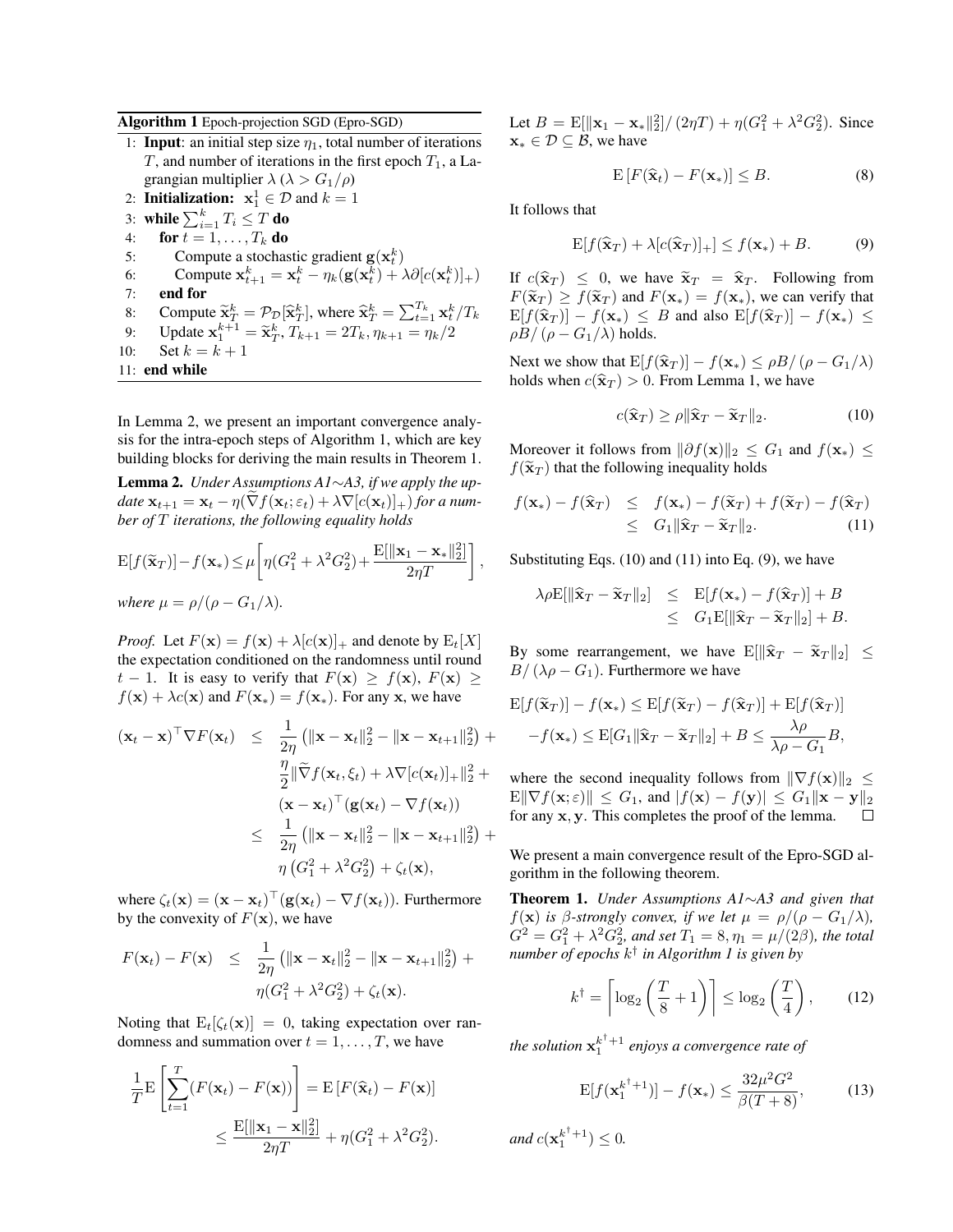#### Algorithm 1 Epoch-projection SGD (Epro-SGD)

- 1: **Input**: an initial step size  $\eta_1$ , total number of iterations T, and number of iterations in the first epoch  $T_1$ , a Lagrangian multiplier  $\lambda$  ( $\lambda > G_1/\rho$ )
- 2: **Initialization:**  $x_1^1 \in \mathcal{D}$  and  $k = 1$
- 3: while  $\sum_{i=1}^k T_i \leq T$  do
- 4: for  $t = 1, \ldots, T_k$  do
- 5: Compute a stochastic gradient  $\mathbf{g}(\mathbf{x}_t^k)$
- 6: Compute  $\mathbf{x}_{t+1}^k = \mathbf{x}_t^k \eta_k(\mathbf{g}(\mathbf{x}_t^k) + \lambda \partial [c(\mathbf{x}_t^k)]_+)$
- 7: end for
- 8: Compute  $\tilde{\mathbf{x}}_T^k = \mathcal{P}_D[\hat{\mathbf{x}}_T^k]$ , where  $\hat{\mathbf{x}}_T^k = \sum_{t=1}^{T_k} \mathbf{x}_t^k / T_k$
- 9: Update  $\mathbf{x}_1^{k+1} = \tilde{\mathbf{x}}_T^k$ ,  $T_{k+1} = 2T_k$ ,  $\eta_{k+1} = \eta_k/2$
- 10: Set  $k = k + 1$
- 11: end while

In Lemma 2, we present an important convergence analysis for the intra-epoch steps of Algorithm 1, which are key building blocks for deriving the main results in Theorem 1.

Lemma 2. *Under Assumptions A1*∼*A3, if we apply the update*  $\mathbf{x}_{t+1} = \mathbf{x}_t - \eta(\nabla f(\mathbf{x}_t; \varepsilon_t) + \lambda \nabla [c(\mathbf{x}_t)]_+)$  *for a number of* T *iterations, the following equality holds*

$$
E[f(\widetilde{\mathbf{x}}_T)] - f(\mathbf{x}_*) \le \mu \left[ \eta(G_1^2 + \lambda^2 G_2^2) + \frac{E[\|\mathbf{x}_1 - \mathbf{x}_*\|_2^2]}{2\eta T} \right],
$$
  
where  $\mu = \rho/(\rho - G_1/\lambda)$ .

*Proof.* Let  $F(\mathbf{x}) = f(\mathbf{x}) + \lambda [c(\mathbf{x})]_+$  and denote by  $E_t[X]$ the expectation conditioned on the randomness until round  $t - 1$ . It is easy to verify that  $F(\mathbf{x}) \geq f(\mathbf{x})$ ,  $F(\mathbf{x}) \geq$  $f(\mathbf{x}) + \lambda c(\mathbf{x})$  and  $F(\mathbf{x}_{*}) = f(\mathbf{x}_{*})$ . For any x, we have

$$
(\mathbf{x}_t - \mathbf{x})^{\top} \nabla F(\mathbf{x}_t) \leq \frac{1}{2\eta} \left( \|\mathbf{x} - \mathbf{x}_t\|_2^2 - \|\mathbf{x} - \mathbf{x}_{t+1}\|_2^2 \right) +
$$
  

$$
\frac{\eta}{2} \|\widetilde{\nabla} f(\mathbf{x}_t, \xi_t) + \lambda \nabla [c(\mathbf{x}_t)]_+ \|_2^2 +
$$
  

$$
(\mathbf{x} - \mathbf{x}_t)^{\top} (\mathbf{g}(\mathbf{x}_t) - \nabla f(\mathbf{x}_t))
$$
  

$$
\leq \frac{1}{2\eta} \left( \|\mathbf{x} - \mathbf{x}_t\|_2^2 - \|\mathbf{x} - \mathbf{x}_{t+1}\|_2^2 \right) +
$$
  

$$
\eta \left( G_1^2 + \lambda^2 G_2^2 \right) + \zeta_t(\mathbf{x}),
$$

where  $\zeta_t(\mathbf{x}) = (\mathbf{x} - \mathbf{x}_t)^\top (\mathbf{g}(\mathbf{x}_t) - \nabla f(\mathbf{x}_t))$ . Furthermore by the convexity of  $F(\mathbf{x})$ , we have

$$
F(\mathbf{x}_t) - F(\mathbf{x}) \leq \frac{1}{2\eta} (||\mathbf{x} - \mathbf{x}_t||_2^2 - ||\mathbf{x} - \mathbf{x}_{t+1}||_2^2) +
$$
  

$$
\eta(G_1^2 + \lambda^2 G_2^2) + \zeta_t(\mathbf{x}).
$$

Noting that  $E_t[\zeta_t(\mathbf{x})] = 0$ , taking expectation over randomness and summation over  $t = 1, \ldots, T$ , we have

$$
\frac{1}{T} \mathbf{E} \left[ \sum_{t=1}^{T} (F(\mathbf{x}_t) - F(\mathbf{x})) \right] = \mathbf{E} \left[ F(\hat{\mathbf{x}}_t) - F(\mathbf{x}) \right]
$$

$$
\leq \frac{\mathbf{E}[\|\mathbf{x}_1 - \mathbf{x}\|_2^2]}{2\eta T} + \eta (G_1^2 + \lambda^2 G_2^2).
$$

Let  $B = \mathbb{E}[\|\mathbf{x}_1 - \mathbf{x}_*\|^2_2]/(2\eta T) + \eta(G_1^2 + \lambda^2 G_2^2)$ . Since  $\mathbf{x}^* \in \mathcal{D} \subset \mathcal{B}$ , we have

$$
\mathbf{E}\left[F(\widehat{\mathbf{x}}_t) - F(\mathbf{x}_*)\right] \leq B. \tag{8}
$$

It follows that

$$
\mathbf{E}[f(\widehat{\mathbf{x}}_T) + \lambda [c(\widehat{\mathbf{x}}_T)]_+] \le f(\mathbf{x}_*) + B. \tag{9}
$$

If  $c(\hat{\mathbf{x}}_T) \leq 0$ , we have  $\tilde{\mathbf{x}}_T = \hat{\mathbf{x}}_T$ . Following from  $F(\tilde{\mathbf{x}}_T) \geq f(\tilde{\mathbf{x}}_T)$  and  $F(\mathbf{x}_*) = f(\mathbf{x}_*)$ , we can verify that  $E[f(\hat{\mathbf{x}}_T)] - f(\mathbf{x}_*) \leq B$  and also  $E[f(\hat{\mathbf{x}}_T)] - f(\mathbf{x}_*) \leq$  $\rho B/(\rho - G_1/\lambda)$  holds.

Next we show that  $E[f(\hat{\mathbf{x}}_T)] - f(\mathbf{x}_*) \le \rho B/(\rho - G_1/\lambda)$ holds when  $c(\hat{\mathbf{x}}_T) > 0$ . From Lemma 1, we have

$$
c(\hat{\mathbf{x}}_T) \ge \rho \|\hat{\mathbf{x}}_T - \tilde{\mathbf{x}}_T\|_2. \tag{10}
$$

Moreover it follows from  $\|\partial f(\mathbf{x})\|_2 \leq G_1$  and  $f(\mathbf{x}_*) \leq$  $f(\tilde{\mathbf{x}}_T)$  that the following inequality holds

$$
f(\mathbf{x}_{*}) - f(\widehat{\mathbf{x}}_{T}) \leq f(\mathbf{x}_{*}) - f(\widetilde{\mathbf{x}}_{T}) + f(\widetilde{\mathbf{x}}_{T}) - f(\widehat{\mathbf{x}}_{T})
$$
  
\n
$$
\leq G_{1} \|\widehat{\mathbf{x}}_{T} - \widetilde{\mathbf{x}}_{T}\|_{2}. \tag{11}
$$

Substituting Eqs.  $(10)$  and  $(11)$  into Eq.  $(9)$ , we have

$$
\lambda \rho \mathbf{E}[\|\hat{\mathbf{x}}_T - \tilde{\mathbf{x}}_T\|_2] \leq \mathbf{E}[f(\mathbf{x}_*) - f(\hat{\mathbf{x}}_T)] + B \leq G_1 \mathbf{E}[\|\hat{\mathbf{x}}_T - \tilde{\mathbf{x}}_T\|_2] + B.
$$

By some rearrangement, we have  $E[\|\hat{\mathbf{x}}_T - \tilde{\mathbf{x}}_T\|_2] \leq$  $B/(\lambda \rho - G_1)$ . Furthermore we have

$$
\mathbb{E}[f(\widetilde{\mathbf{x}}_T)] - f(\mathbf{x}_*) \le \mathbb{E}[f(\widetilde{\mathbf{x}}_T) - f(\widehat{\mathbf{x}}_T)] + \mathbb{E}[f(\widehat{\mathbf{x}}_T)]
$$

$$
-f(\mathbf{x}_*) \le \mathbb{E}[G_1 || \widehat{\mathbf{x}}_T - \widetilde{\mathbf{x}}_T ||_2] + B \le \frac{\lambda \rho}{\lambda \rho - G_1} B,
$$

where the second inequality follows from  $\|\nabla f(\mathbf{x})\|_2 \leq$  $\mathbb{E} \|\nabla f(\mathbf{x}; \varepsilon)\| \leq G_1$ , and  $|f(\mathbf{x}) - f(\mathbf{y})| \leq G_1 \|\mathbf{x} - \mathbf{y}\|_2$ for any x, y. This completes the proof of the lemma.  $\Box$ 

We present a main convergence result of the Epro-SGD algorithm in the following theorem.

Theorem 1. *Under Assumptions A1*∼*A3 and given that*  $f(\mathbf{x})$  *is*  $\beta$ -strongly convex, if we let  $\mu = \rho/(\rho - G_1/\lambda)$ ,  $G^{2} = G_{1}^{2} + \lambda^{2} G_{2}^{2}$ , and set  $T_{1} = 8, \eta_{1} = \mu/(2\beta)$ , the total *number of epochs* k † *in Algorithm 1 is given by*

$$
k^{\dagger} = \left\lceil \log_2 \left( \frac{T}{8} + 1 \right) \right\rceil \le \log_2 \left( \frac{T}{4} \right), \qquad (12)
$$

the solution  $x_1^{k^{\dagger}+1}$  enjoys a convergence rate of

$$
\mathbf{E}[f(\mathbf{x}_1^{k^{\dagger}+1})] - f(\mathbf{x}_*) \le \frac{32\mu^2 G^2}{\beta(T+8)},\tag{13}
$$

*and*  $c(\mathbf{x}_1^{k^{\dagger}+1}) \leq 0$ .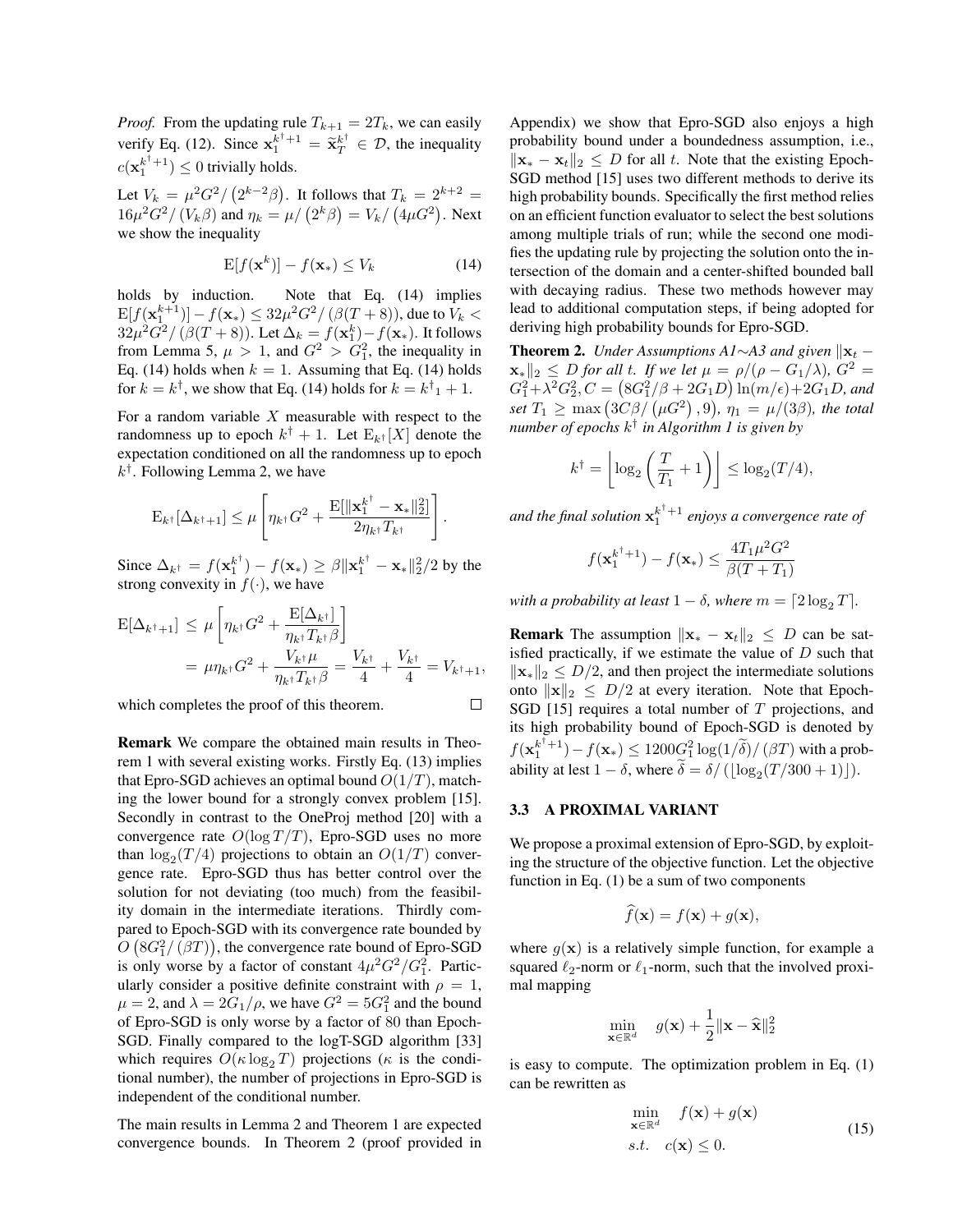*Proof.* From the updating rule  $T_{k+1} = 2T_k$ , we can easily verify Eq. (12). Since  $x_1^{k^{\dagger}+1} = \tilde{x}_T^{k^{\dagger}} \in \mathcal{D}$ , the inequality  $c(\mathbf{x}_1^{k^{\dagger}+1}) \leq 0$  trivially holds.

Let  $V_k = \mu^2 G^2 / (2^{k-2}\beta)$ . It follows that  $T_k = 2^{k+2} =$  $16\mu^2 G^2 / (V_k \beta)$  and  $\eta_k = \mu / (2^k \beta) = V_k / (4\mu G^2)$ . Next we show the inequality

$$
\mathbf{E}[f(\mathbf{x}^k)] - f(\mathbf{x}_*) \le V_k \tag{14}
$$

holds by induction. Note that Eq. (14) implies  $\mathop{\rm E{}}[f({\bf x}_1^{k+1})] - f({\bf x}_*) \leq 32 \mu^2 G^2 / \left(\beta (T+8) \right),$  due to  $V_k <$  $32\mu^2G^2/\left(\beta(T+8)\right)$ . Let  $\Delta_k = f(\mathbf{x}_1^k) - f(\mathbf{x}_*)$ . It follows from Lemma 5,  $\mu > 1$ , and  $G^2 > G_1^2$ , the inequality in Eq. (14) holds when  $k = 1$ . Assuming that Eq. (14) holds for  $k = k^{\dagger}$ , we show that Eq. (14) holds for  $k = k^{\dagger}$ <sub>1</sub> + 1.

For a random variable  $X$  measurable with respect to the randomness up to epoch  $k^{\dagger} + 1$ . Let  $E_{k^{\dagger}}[X]$  denote the expectation conditioned on all the randomness up to epoch  $k^{\dagger}$ . Following Lemma 2, we have

$$
\mathrm{E}_{k^{\dagger}}[\Delta_{k^{\dagger}+1}] \leq \mu \left[ \eta_{k^{\dagger}} G^2 + \frac{\mathrm{E}[\|\mathbf{x}_1^{k^{\dagger}} - \mathbf{x}_*\|_2^2]}{2\eta_{k^{\dagger}} T_{k^{\dagger}}} \right].
$$

Since  $\Delta_{k^{\dagger}} = f(\mathbf{x}_{1}^{k^{\dagger}}) - f(\mathbf{x}_{*}) \geq \beta \|\mathbf{x}_{1}^{k^{\dagger}} - \mathbf{x}_{*}\|_{2}^{2}/2$  by the strong convexity in  $f(.)$ , we have

$$
E[\Delta_{k^{\dagger}+1}] \leq \mu \left[ \eta_{k^{\dagger}} G^2 + \frac{E[\Delta_{k^{\dagger}}]}{\eta_{k^{\dagger}} T_{k^{\dagger}} \beta} \right]
$$
  
=  $\mu \eta_{k^{\dagger}} G^2 + \frac{V_{k^{\dagger}} \mu}{\eta_{k^{\dagger}} T_{k^{\dagger}} \beta} = \frac{V_{k^{\dagger}}}{4} + \frac{V_{k^{\dagger}}}{4} = V_{k^{\dagger}+1},$ 

which completes the proof of this theorem.

Remark We compare the obtained main results in Theorem 1 with several existing works. Firstly Eq. (13) implies that Epro-SGD achieves an optimal bound  $O(1/T)$ , matching the lower bound for a strongly convex problem [15]. Secondly in contrast to the OneProj method [20] with a convergence rate  $O(\log T/T)$ , Epro-SGD uses no more than  $\log_2(T/4)$  projections to obtain an  $O(1/T)$  convergence rate. Epro-SGD thus has better control over the solution for not deviating (too much) from the feasibility domain in the intermediate iterations. Thirdly compared to Epoch-SGD with its convergence rate bounded by  $O(8G_1^2/(\beta T))$ , the convergence rate bound of Epro-SGD is only worse by a factor of constant  $4\mu^2 G^2/G_1^2$ . Particularly consider a positive definite constraint with  $\rho = 1$ ,  $\mu = 2$ , and  $\lambda = 2G_1/\rho$ , we have  $G^2 = 5G_1^2$  and the bound of Epro-SGD is only worse by a factor of 80 than Epoch-SGD. Finally compared to the logT-SGD algorithm [33] which requires  $O(\kappa \log_2 T)$  projections ( $\kappa$  is the conditional number), the number of projections in Epro-SGD is independent of the conditional number.

The main results in Lemma 2 and Theorem 1 are expected convergence bounds. In Theorem 2 (proof provided in

Appendix) we show that Epro-SGD also enjoys a high probability bound under a boundedness assumption, i.e.,  $\|\mathbf{x} - \mathbf{x}_t\|_2 \leq D$  for all t. Note that the existing Epoch-SGD method [15] uses two different methods to derive its high probability bounds. Specifically the first method relies on an efficient function evaluator to select the best solutions among multiple trials of run; while the second one modifies the updating rule by projecting the solution onto the intersection of the domain and a center-shifted bounded ball with decaying radius. These two methods however may lead to additional computation steps, if being adopted for deriving high probability bounds for Epro-SGD.

**Theorem 2.** *Under Assumptions A1*∼*A3 and given*  $\|\mathbf{x}_t \mathbf{x}_{*}\Vert_{2} \leq D$  *for all t. If we let*  $\mu = \rho/(\rho - G_{1}/\lambda)$ ,  $G^{2} =$  $G_1^2 + \lambda^2 G_2^2$ ,  $C = (8G_1^2/\beta + 2G_1D)\ln(m/\epsilon) + 2G_1D$ , and  $\mathit{set}\ T_1 \geq \max\left(3C\beta/\left(\mu G^2\right),9\right)\!,\ \eta_1\ =\ \mu/(3\beta)\!,\ \mathit{the}\ \mathit{total}$ *number of epochs* k † *in Algorithm 1 is given by*

$$
k^{\dagger} = \left\lfloor \log_2 \left( \frac{T}{T_1} + 1 \right) \right\rfloor \le \log_2(T/4),
$$

and the final solution  $x_1^{k^{\dagger}+1}$  enjoys a convergence rate of

$$
f(\mathbf{x}_1^{k^{\dagger}+1}) - f(\mathbf{x}_*) \le \frac{4T_1\mu^2G^2}{\beta(T+T_1)}
$$

*with a probability at least*  $1 - \delta$ *, where*  $m = \lceil 2 \log_2 T \rceil$ *.* 

**Remark** The assumption  $\|\mathbf{x} - \mathbf{x}_t\|_2 \leq D$  can be satisfied practically, if we estimate the value of  $D$  such that  $\|\mathbf{x}_*\|_2 \leq D/2$ , and then project the intermediate solutions onto  $\|\mathbf{x}\|_2 \leq D/2$  at every iteration. Note that Epoch-SGD [15] requires a total number of  $T$  projections, and its high probability bound of Epoch-SGD is denoted by  $f(\mathbf{x}_1^{k^{\dagger}+1}) - f(\mathbf{x}_*) \leq 1200 \underline{G}_1^2 \log(1/\widetilde{\delta}) / \left(\beta T\right)$  with a probability at lest  $1 - \delta$ , where  $\delta = \delta / (\lfloor \log_2(T/300 + 1) \rfloor)$ .

#### 3.3 A PROXIMAL VARIANT

 $\Box$ 

We propose a proximal extension of Epro-SGD, by exploiting the structure of the objective function. Let the objective function in Eq. (1) be a sum of two components

$$
\widehat{f}(\mathbf{x}) = f(\mathbf{x}) + g(\mathbf{x}),
$$

where  $q(\mathbf{x})$  is a relatively simple function, for example a squared  $\ell_2$ -norm or  $\ell_1$ -norm, such that the involved proximal mapping

$$
\min_{\mathbf{x} \in \mathbb{R}^d} \quad g(\mathbf{x}) + \frac{1}{2} \|\mathbf{x} - \widehat{\mathbf{x}}\|_2^2
$$

is easy to compute. The optimization problem in Eq. (1) can be rewritten as

$$
\min_{\mathbf{x} \in \mathbb{R}^d} f(\mathbf{x}) + g(\mathbf{x})
$$
\n
$$
s.t. \quad c(\mathbf{x}) \le 0.
$$
\n(15)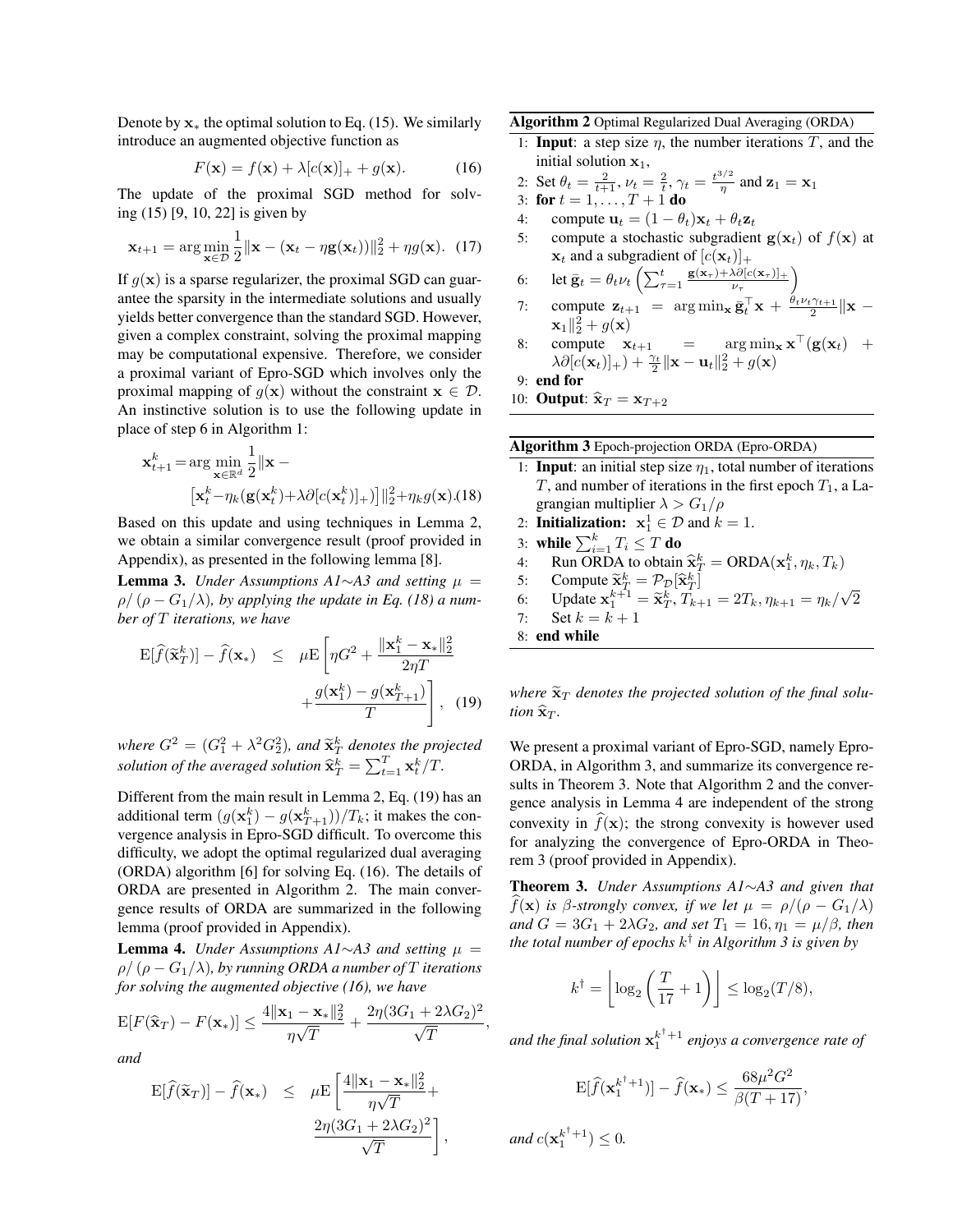Denote by  $x_*$  the optimal solution to Eq. (15). We similarly introduce an augmented objective function as

$$
F(\mathbf{x}) = f(\mathbf{x}) + \lambda [c(\mathbf{x})]_+ + g(\mathbf{x}). \tag{16}
$$

The update of the proximal SGD method for solving (15) [9, 10, 22] is given by

$$
\mathbf{x}_{t+1} = \arg\min_{\mathbf{x} \in \mathcal{D}} \frac{1}{2} ||\mathbf{x} - (\mathbf{x}_t - \eta \mathbf{g}(\mathbf{x}_t))||_2^2 + \eta g(\mathbf{x}). \tag{17}
$$

If  $q(x)$  is a sparse regularizer, the proximal SGD can guarantee the sparsity in the intermediate solutions and usually yields better convergence than the standard SGD. However, given a complex constraint, solving the proximal mapping may be computational expensive. Therefore, we consider a proximal variant of Epro-SGD which involves only the proximal mapping of  $g(x)$  without the constraint  $x \in \mathcal{D}$ . An instinctive solution is to use the following update in place of step 6 in Algorithm 1:

$$
\mathbf{x}_{t+1}^k = \arg\min_{\mathbf{x} \in \mathbb{R}^d} \frac{1}{2} ||\mathbf{x} - \left[ \mathbf{x}_t^k - \eta_k(\mathbf{g}(\mathbf{x}_t^k) + \lambda \partial [c(\mathbf{x}_t^k)]_+) \right] ||_2^2 + \eta_k g(\mathbf{x}).(18)
$$

Based on this update and using techniques in Lemma 2, we obtain a similar convergence result (proof provided in Appendix), as presented in the following lemma [8].

**Lemma 3.** *Under Assumptions A1*∼*A3 and setting*  $\mu$  =  $\rho/(\rho - G_1/\lambda)$ , by applying the update in Eq. (18) a num*ber of* T *iterations, we have*

$$
\mathbf{E}[\hat{f}(\tilde{\mathbf{x}}_T^k)] - \hat{f}(\mathbf{x}_*) \le \mu \mathbf{E} \left[ \eta G^2 + \frac{\|\mathbf{x}_1^k - \mathbf{x}_*\|_2^2}{2\eta T} + \frac{g(\mathbf{x}_1^k) - g(\mathbf{x}_{T+1}^k)}{T} \right], \quad (19)
$$

*where*  $G^2 = (G_1^2 + \lambda^2 G_2^2)$ *, and*  $\tilde{\mathbf{x}}_T^k$  *denotes the projected* solution of the averaged solution  $\widehat{\mathbf{x}}_T^k = \sum_{t=1}^T \mathbf{x}_t^k / T$ .

Different from the main result in Lemma 2, Eq. (19) has an additional term  $(g(\mathbf{x}_1^k) - g(\mathbf{x}_{T+1}^k))/T_k$ ; it makes the convergence analysis in Epro-SGD difficult. To overcome this difficulty, we adopt the optimal regularized dual averaging (ORDA) algorithm [6] for solving Eq. (16). The details of ORDA are presented in Algorithm 2. The main convergence results of ORDA are summarized in the following lemma (proof provided in Appendix).

**Lemma 4.** *Under Assumptions A1*∼*A3 and setting*  $μ =$  $\rho / (\rho - G_1/\lambda)$ , by running ORDA a number of T iterations *for solving the augmented objective (16), we have*

$$
\mathrm{E}[F(\widehat{\mathbf{x}}_T) - F(\mathbf{x}_*)] \le \frac{4\|\mathbf{x}_1 - \mathbf{x}_*\|_2^2}{\eta\sqrt{T}} + \frac{2\eta(3G_1 + 2\lambda G_2)^2}{\sqrt{T}},
$$

*and*

$$
\mathbf{E}[\widehat{f}(\widetilde{\mathbf{x}}_T)] - \widehat{f}(\mathbf{x}_*) \leq \mu \mathbf{E} \left[ \frac{4 \|\mathbf{x}_1 - \mathbf{x}_*\|_2^2}{\eta \sqrt{T}} + \frac{2\eta (3G_1 + 2\lambda G_2)^2}{\sqrt{T}} \right],
$$

Algorithm 2 Optimal Regularized Dual Averaging (ORDA)

1: **Input**: a step size  $\eta$ , the number iterations  $T$ , and the initial solution  $x_1$ ,

2: Set 
$$
\theta_t = \frac{2}{t+1}
$$
,  $\nu_t = \frac{2}{t}$ ,  $\gamma_t = \frac{t^{3/2}}{\eta}$  and  $\mathbf{z}_1 = \mathbf{x}_1$   
3: **for**  $t = 1, ..., T + 1$  **do**

- 4: compute  $\mathbf{u}_t = (1 \theta_t)\mathbf{x}_t + \theta_t \mathbf{z}_t$
- 5: compute a stochastic subgradient  $g(x_t)$  of  $f(x)$  at  $\mathbf{x}_t$  and a subgradient of  $[c(\mathbf{x}_t)]_+$
- 6: let  $\bar{\mathbf{g}}_t = \theta_t \nu_t \left( \sum_{\tau=1}^t \frac{\mathbf{g}(\mathbf{x}_{\tau}) + \lambda \partial [c(\mathbf{x}_{\tau})]_+}{\nu_{\tau}} \right)$  $\frac{\lambda \partial [c(\mathbf{x}_{\tau})]_+}{\nu_{\tau}}$
- 7: compute  $\mathbf{z}_{t+1} = \arg \min_{\mathbf{x}} \bar{\mathbf{g}}_t^{\top} \mathbf{x} + \frac{\theta_t \nu_t \gamma_{t+1}}{2} ||\mathbf{x} \mathbf{z}||$  $\mathbf{x}_1 \parallel_2^2 + g(\mathbf{x})$
- 8: compute  $\mathbf{x}_{t+1}$  =  $\arg \min_{\mathbf{x}} \mathbf{x}^{\top}(\mathbf{g}(\mathbf{x}_t) +$  $\lambda \partial [c(\mathbf{x}_t)]_+) + \frac{\gamma_t}{2} \|\mathbf{x} - \mathbf{u}_t\|_2^2 + g(\mathbf{x})$

9: end for

10: **Output:**  $\hat{\mathbf{x}}_T = \mathbf{x}_{T+2}$ 

#### Algorithm 3 Epoch-projection ORDA (Epro-ORDA)

- 1: **Input**: an initial step size  $\eta_1$ , total number of iterations T, and number of iterations in the first epoch  $T_1$ , a Lagrangian multiplier  $\lambda > G_1/\rho$
- 2: **Initialization:**  $x_1^1 \in \mathcal{D}$  and  $k = 1$ .
- 3: while  $\sum_{i=1}^k T_i \leq T$  do
- 4: Run ORDA to obtain  $\hat{\mathbf{x}}_k^k = \text{ORDA}(\mathbf{x}_1^k, \eta_k, T_k)$ <br>5. Compute  $\tilde{\mathbf{x}}_k^k = \mathcal{D}_k[\hat{\mathbf{x}}_k^k]$
- 5: Compute  $\widetilde{\mathbf{x}}_T^k = \mathcal{P}_{\mathcal{D}}[\widehat{\mathbf{x}}_T^k]$ <br>6. **Hodate**  $\mathbf{x}^{k+1} = \widetilde{\mathbf{x}}^k$   $T$
- 6: Update  $\mathbf{x}_1^{k+1} = \tilde{\mathbf{x}}_T^k$ ,  $\tilde{T}_{k+1} = 2T_k, \eta_{k+1} = \eta_k/$ 2

√

7: Set  $k = k + 1$ 8: end while

*tion*  $\hat{\mathbf{x}}_T$ *.* 

where  $\tilde{\mathbf{x}}_T$  denotes the projected solution of the final solu-

We present a proximal variant of Epro-SGD, namely Epro-ORDA, in Algorithm 3, and summarize its convergence results in Theorem 3. Note that Algorithm 2 and the convergence analysis in Lemma 4 are independent of the strong convexity in  $\hat{f}(\mathbf{x})$ ; the strong convexity is however used for analyzing the convergence of Epro-ORDA in Theorem 3 (proof provided in Appendix).

Theorem 3. *Under Assumptions A1*∼*A3 and given that*  $f(\mathbf{x})$  *is* β-strongly convex, if we let  $\mu = \rho/(\rho - G_1/\lambda)$ *and*  $G = 3G_1 + 2\lambda G_2$ *, and set*  $T_1 = 16$ *,*  $\eta_1 = \mu/\beta$ *, then the total number of epochs* k † *in Algorithm 3 is given by*

$$
k^{\dagger} = \left\lfloor \log_2 \left( \frac{T}{17} + 1 \right) \right\rfloor \le \log_2(T/8),
$$

and the final solution  $x_1^{k^{\dagger}+1}$  enjoys a convergence rate of

$$
\mathbf{E}[\widehat{f}(\mathbf{x}_1^{k^{\dagger}+1})] - \widehat{f}(\mathbf{x}_*) \le \frac{68\mu^2 G^2}{\beta(T+17)},
$$
  
and  $c(\mathbf{x}_1^{k^{\dagger}+1}) \le 0$ .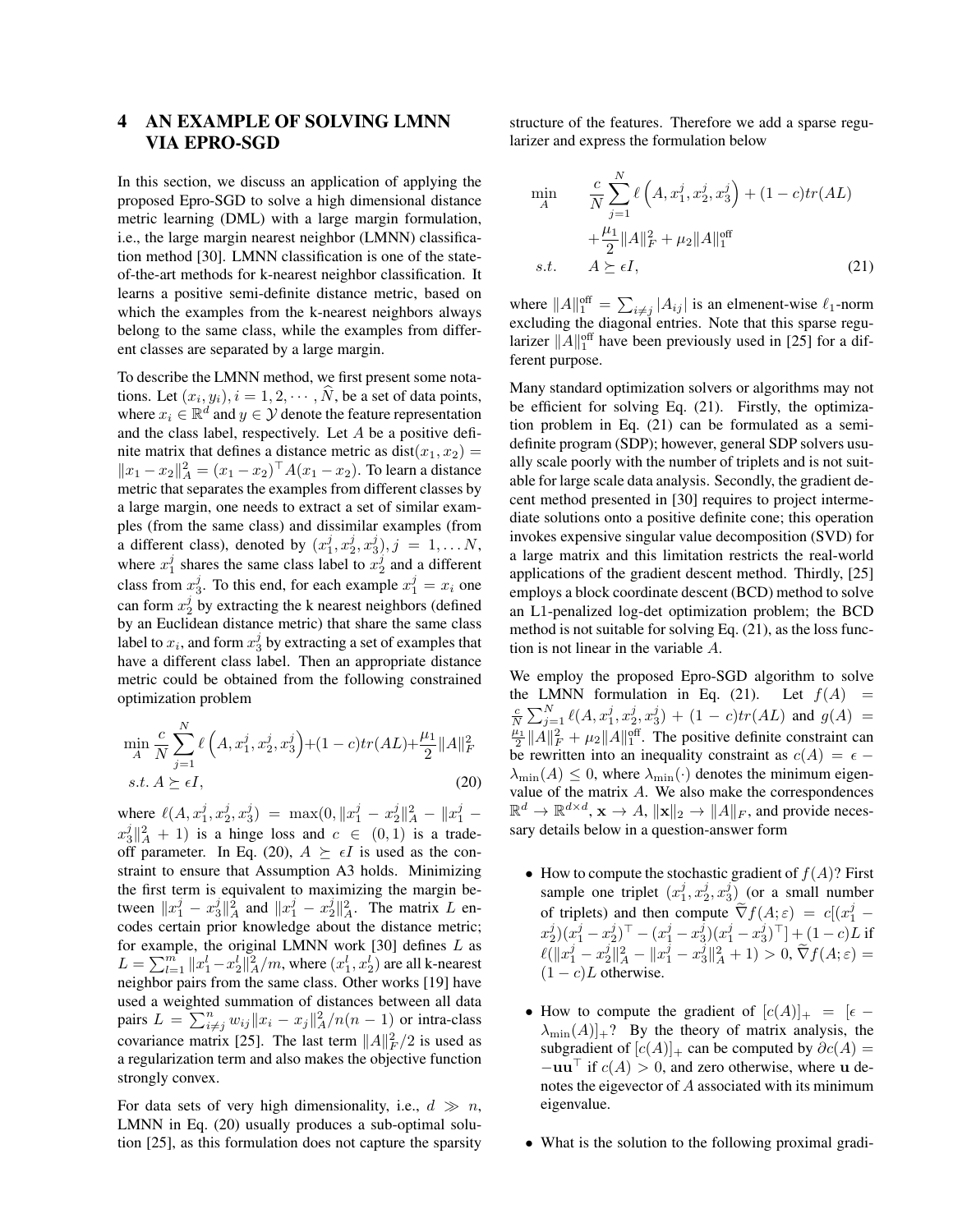## 4 AN EXAMPLE OF SOLVING LMNN VIA EPRO-SGD

In this section, we discuss an application of applying the proposed Epro-SGD to solve a high dimensional distance metric learning (DML) with a large margin formulation, i.e., the large margin nearest neighbor (LMNN) classification method [30]. LMNN classification is one of the stateof-the-art methods for k-nearest neighbor classification. It learns a positive semi-definite distance metric, based on which the examples from the k-nearest neighbors always belong to the same class, while the examples from different classes are separated by a large margin.

To describe the LMNN method, we first present some notations. Let  $(x_i, y_i)$ ,  $i = 1, 2, \dots, N$ , be a set of data points, where  $x_i \in \mathbb{R}^d$  and  $y \in \mathcal{Y}$  denote the feature representation and the class label, respectively. Let A be a positive definite matrix that defines a distance metric as  $dist(x_1, x_2) =$  $||x_1 - x_2||_A^2 = (x_1 - x_2)^{\top} A (x_1 - x_2)$ . To learn a distance metric that separates the examples from different classes by a large margin, one needs to extract a set of similar examples (from the same class) and dissimilar examples (from a different class), denoted by  $(x_1^j, x_2^j, x_3^j), j = 1, \ldots N$ , where  $x_1^j$  shares the same class label to  $x_2^j$  and a different class from  $x_3^j$ . To this end, for each example  $x_1^j = x_i$  one can form  $x_2^j$  by extracting the k nearest neighbors (defined by an Euclidean distance metric) that share the same class label to  $x_i$ , and form  $x_3^j$  by extracting a set of examples that have a different class label. Then an appropriate distance metric could be obtained from the following constrained optimization problem

$$
\min_{A} \frac{c}{N} \sum_{j=1}^{N} \ell\left(A, x_1^j, x_2^j, x_3^j\right) + (1 - c)tr(AL) + \frac{\mu_1}{2} ||A||_F^2
$$
  
s.t.  $A \succeq \epsilon I$ , (20)

where  $\ell(A, x_1^j, x_2^j, x_3^j) = \max(0, \|x_1^j - x_2^j\|_A^2 - \|x_1^j - x_3^j\|_A^2)$  $x_3^j \|^2_A + 1$ ) is a hinge loss and  $c \in (0,1)$  is a tradeoff parameter. In Eq. (20),  $A \succeq \epsilon I$  is used as the constraint to ensure that Assumption A3 holds. Minimizing the first term is equivalent to maximizing the margin between  $||x_1^j - x_3^j||_A^2$  and  $||x_1^j - x_2^j||_A^2$ . The matrix L encodes certain prior knowledge about the distance metric; for example, the original LMNN work  $[30]$  defines  $L$  as  $L = \sum_{l=1}^{m} ||x_1^l - x_2^l||_A^2/m$ , where  $(x_1^l, x_2^l)$  are all k-nearest neighbor pairs from the same class. Other works [19] have used a weighted summation of distances between all data pairs  $L = \sum_{i \neq j}^{n} w_{ij} ||x_i - x_j||_A^2/n(n-1)$  or intra-class covariance matrix [25]. The last term  $||A||_F^2/2$  is used as a regularization term and also makes the objective function strongly convex.

For data sets of very high dimensionality, i.e.,  $d \gg n$ , LMNN in Eq. (20) usually produces a sub-optimal solution [25], as this formulation does not capture the sparsity

structure of the features. Therefore we add a sparse regularizer and express the formulation below

$$
\min_{A} \qquad \frac{c}{N} \sum_{j=1}^{N} \ell\left(A, x_1^j, x_2^j, x_3^j\right) + (1 - c)tr(AL) \n+ \frac{\mu_1}{2} ||A||_F^2 + \mu_2 ||A||_1^{\text{off}} \ns.t. \qquad A \succeq \epsilon I,
$$
\n(21)

where  $||A||_1^{\text{off}} = \sum_{i \neq j} |A_{ij}|$  is an elmenent-wise  $\ell_1$ -norm excluding the diagonal entries. Note that this sparse regularizer  $||A||_1^{\text{off}}$  have been previously used in [25] for a different purpose.

Many standard optimization solvers or algorithms may not be efficient for solving Eq. (21). Firstly, the optimization problem in Eq. (21) can be formulated as a semidefinite program (SDP); however, general SDP solvers usually scale poorly with the number of triplets and is not suitable for large scale data analysis. Secondly, the gradient decent method presented in [30] requires to project intermediate solutions onto a positive definite cone; this operation invokes expensive singular value decomposition (SVD) for a large matrix and this limitation restricts the real-world applications of the gradient descent method. Thirdly, [25] employs a block coordinate descent (BCD) method to solve an L1-penalized log-det optimization problem; the BCD method is not suitable for solving Eq. (21), as the loss function is not linear in the variable A.

We employ the proposed Epro-SGD algorithm to solve the LMNN formulation in Eq. (21). Let  $f(A)$  =  $\frac{c}{N} \sum_{j=1}^{N} \ell(A, x_1^j, x_2^j, x_3^j) + (1 - c) tr(AL)$  and  $g(A) =$  $\frac{\mu_1}{2} ||A||_F^2 + \mu_2 ||A||_1^{\text{off}}$ . The positive definite constraint can be rewritten into an inequality constraint as  $c(A) = \epsilon$  –  $\lambda_{\min}(A) \leq 0$ , where  $\lambda_{\min}(\cdot)$  denotes the minimum eigenvalue of the matrix A. We also make the correspondences  $\mathbb{R}^d \to \mathbb{R}^{d \times d}$ ,  $\mathbf{x} \to A$ ,  $\|\mathbf{x}\|_2 \to \|A\|_F$ , and provide necessary details below in a question-answer form

- How to compute the stochastic gradient of  $f(A)$ ? First sample one triplet  $(x_1^j, x_2^j, x_3^j)$  (or a small number of triplets) and then compute  $\nabla f(A; \varepsilon) = c[(x)]$  $j_{1}^j$   $(x_2^j)(x_1^j - x_2^j)^\top - (x_1^j - x_3^j)(x_1^j - x_3^j)^\top] + (1-c)L$  if  $\ell(\|x_1^j - x_2^j\|_A^2 - \|x_1^j - x_3^j\|_A^2 + 1) > 0, \, \widetilde{\nabla}f(A;\varepsilon) =$  $(1 - c)L$  otherwise.
- How to compute the gradient of  $[c(A)]_+ = [e -]$  $\lambda_{\min}(A)|_{+}$ ? By the theory of matrix analysis, the subgradient of  $[c(A)]_+$  can be computed by  $\partial c(A)$  =  $-\mathbf{u}\mathbf{u}$ <sup>i</sup> if  $c(A) > 0$ , and zero otherwise, where **u** denotes the eigevector of A associated with its minimum eigenvalue.
- What is the solution to the following proximal gradi-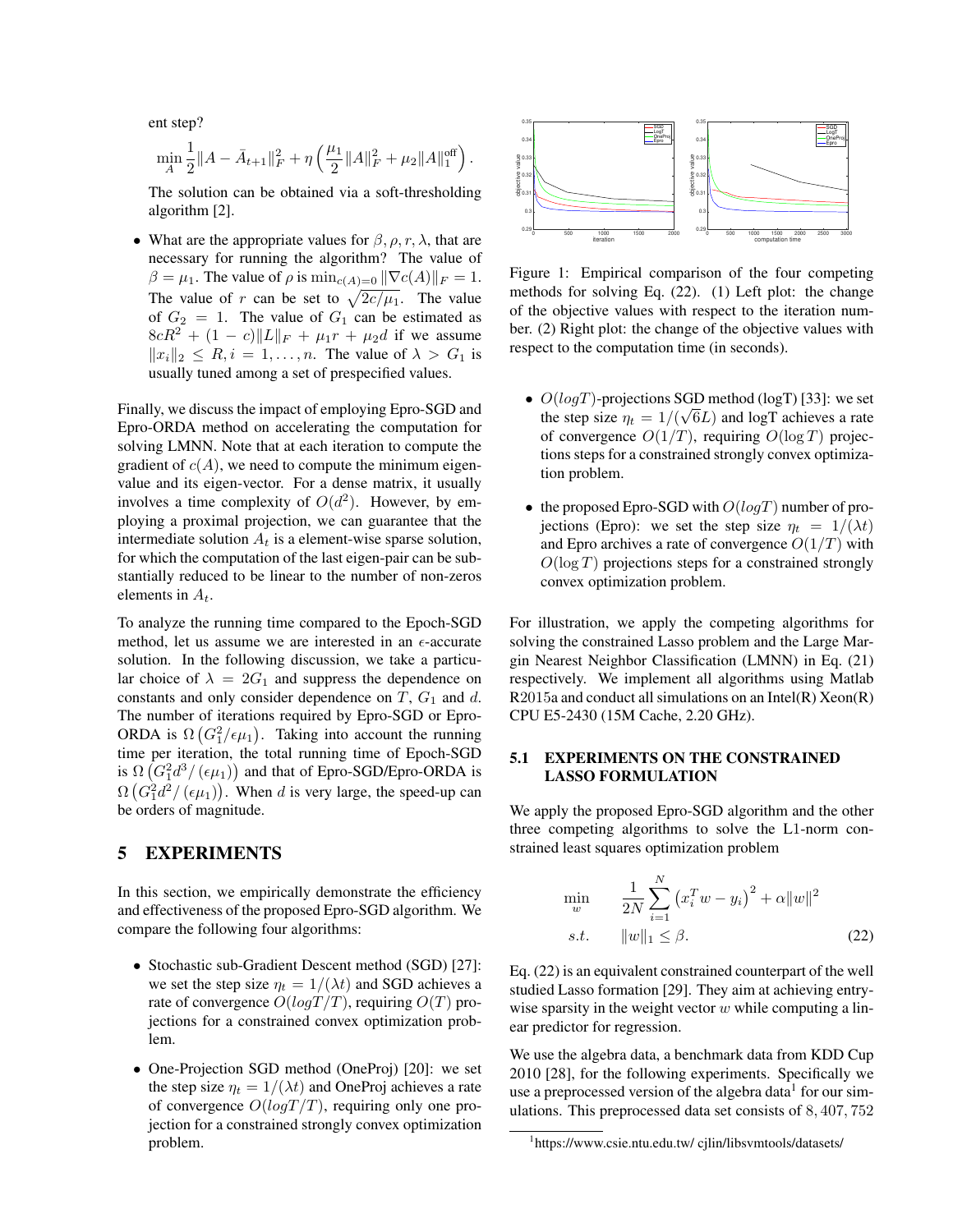ent step?

$$
\min_A \frac{1}{2} \|A - \bar{A}_{t+1}\|_F^2 + \eta \left(\frac{\mu_1}{2} \|A\|_F^2 + \mu_2 \|A\|_1^{\text{off}}\right).
$$

The solution can be obtained via a soft-thresholding algorithm [2].

• What are the appropriate values for  $\beta$ ,  $\rho$ ,  $r$ ,  $\lambda$ , that are necessary for running the algorithm? The value of  $\beta = \mu_1$ . The value of  $\rho$  is  $\min_{c(A)=0} ||\nabla c(A)||_F = 1$ . The value of r can be set to  $\sqrt{2c/\mu_1}$ . The value of  $G_2 = 1$ . The value of  $G_1$  can be estimated as  $8cR^2 + (1 - c)||L||_F + \mu_1r + \mu_2d$  if we assume  $||x_i||_2 \leq R, i = 1, \ldots, n$ . The value of  $\lambda > G_1$  is usually tuned among a set of prespecified values.

Finally, we discuss the impact of employing Epro-SGD and Epro-ORDA method on accelerating the computation for solving LMNN. Note that at each iteration to compute the gradient of  $c(A)$ , we need to compute the minimum eigenvalue and its eigen-vector. For a dense matrix, it usually involves a time complexity of  $O(d^2)$ . However, by employing a proximal projection, we can guarantee that the intermediate solution  $A_t$  is a element-wise sparse solution, for which the computation of the last eigen-pair can be substantially reduced to be linear to the number of non-zeros elements in  $A_t$ .

To analyze the running time compared to the Epoch-SGD method, let us assume we are interested in an  $\epsilon$ -accurate solution. In the following discussion, we take a particular choice of  $\lambda = 2G_1$  and suppress the dependence on constants and only consider dependence on  $T$ ,  $G_1$  and  $d$ . The number of iterations required by Epro-SGD or Epro-ORDA is  $\Omega(G_1^2/\epsilon \mu_1)$ . Taking into account the running time per iteration, the total running time of Epoch-SGD is  $\Omega\left(G_1^2d^3/(\epsilon \mu_1)\right)$  and that of Epro-SGD/Epro-ORDA is  $\Omega\left(G_1^2d^2/(\epsilon\mu_1)\right)$ . When d is very large, the speed-up can be orders of magnitude.

## 5 EXPERIMENTS

In this section, we empirically demonstrate the efficiency and effectiveness of the proposed Epro-SGD algorithm. We compare the following four algorithms:

- Stochastic sub-Gradient Descent method (SGD) [27]: we set the step size  $\eta_t = 1/(\lambda t)$  and SGD achieves a rate of convergence  $O(logT/T)$ , requiring  $O(T)$  projections for a constrained convex optimization problem.
- One-Projection SGD method (OneProj) [20]: we set the step size  $\eta_t = 1/(\lambda t)$  and OneProj achieves a rate of convergence  $O(logT/T)$ , requiring only one projection for a constrained strongly convex optimization problem.



Figure 1: Empirical comparison of the four competing methods for solving Eq. (22). (1) Left plot: the change of the objective values with respect to the iteration number. (2) Right plot: the change of the objective values with respect to the computation time (in seconds).

- $O(logT)$ -projections SGD method (logT) [33]: we set the step size  $\eta_t = 1/(\sqrt{6L})$  and logT achieves a rate of convergence  $O(1/T)$ , requiring  $O(\log T)$  projections steps for a constrained strongly convex optimization problem.
- $\bullet$  the proposed Epro-SGD with  $O(logT)$  number of projections (Epro): we set the step size  $\eta_t = 1/(\lambda t)$ and Epro archives a rate of convergence  $O(1/T)$  with  $O(\log T)$  projections steps for a constrained strongly convex optimization problem.

For illustration, we apply the competing algorithms for solving the constrained Lasso problem and the Large Margin Nearest Neighbor Classification (LMNN) in Eq. (21) respectively. We implement all algorithms using Matlab  $R2015a$  and conduct all simulations on an Intel(R) Xeon(R) CPU E5-2430 (15M Cache, 2.20 GHz).

## 5.1 EXPERIMENTS ON THE CONSTRAINED LASSO FORMULATION

We apply the proposed Epro-SGD algorithm and the other three competing algorithms to solve the L1-norm constrained least squares optimization problem

$$
\min_{w} \qquad \frac{1}{2N} \sum_{i=1}^{N} (x_i^T w - y_i)^2 + \alpha \|w\|^2
$$
  
s.t. 
$$
\|w\|_1 \le \beta.
$$
 (22)

Eq. (22) is an equivalent constrained counterpart of the well studied Lasso formation [29]. They aim at achieving entrywise sparsity in the weight vector  $w$  while computing a linear predictor for regression.

We use the algebra data, a benchmark data from KDD Cup 2010 [28], for the following experiments. Specifically we use a preprocessed version of the algebra data $^1$  for our simulations. This preprocessed data set consists of 8, 407, 752

<sup>1</sup> https://www.csie.ntu.edu.tw/ cjlin/libsvmtools/datasets/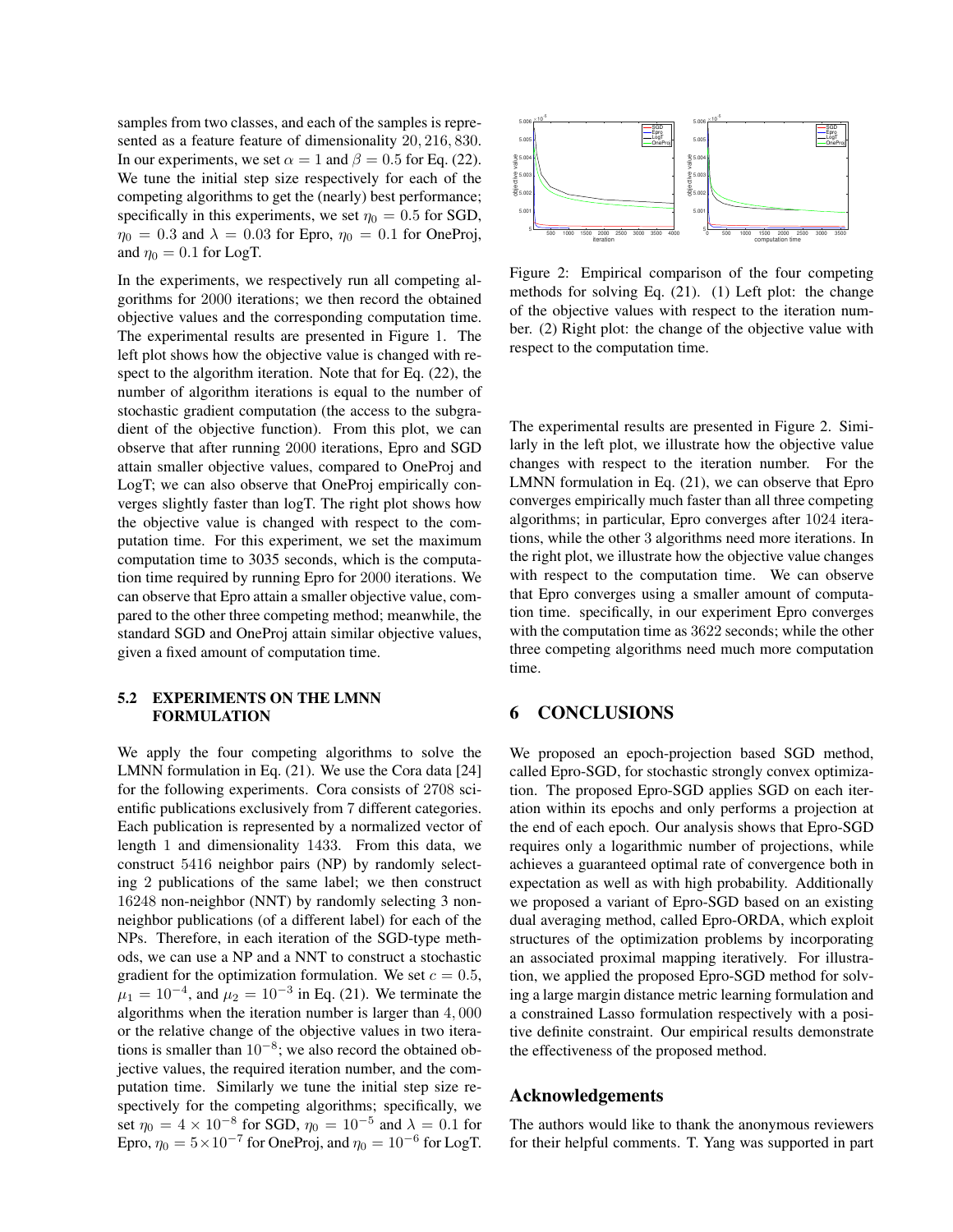samples from two classes, and each of the samples is represented as a feature feature of dimensionality 20, 216, 830. In our experiments, we set  $\alpha = 1$  and  $\beta = 0.5$  for Eq. (22). We tune the initial step size respectively for each of the competing algorithms to get the (nearly) best performance; specifically in this experiments, we set  $\eta_0 = 0.5$  for SGD,  $\eta_0 = 0.3$  and  $\lambda = 0.03$  for Epro,  $\eta_0 = 0.1$  for OneProj, and  $\eta_0 = 0.1$  for LogT.

In the experiments, we respectively run all competing algorithms for 2000 iterations; we then record the obtained objective values and the corresponding computation time. The experimental results are presented in Figure 1. The left plot shows how the objective value is changed with respect to the algorithm iteration. Note that for Eq. (22), the number of algorithm iterations is equal to the number of stochastic gradient computation (the access to the subgradient of the objective function). From this plot, we can observe that after running 2000 iterations, Epro and SGD attain smaller objective values, compared to OneProj and LogT; we can also observe that OneProj empirically converges slightly faster than logT. The right plot shows how the objective value is changed with respect to the computation time. For this experiment, we set the maximum computation time to 3035 seconds, which is the computation time required by running Epro for 2000 iterations. We can observe that Epro attain a smaller objective value, compared to the other three competing method; meanwhile, the standard SGD and OneProj attain similar objective values, given a fixed amount of computation time.

### 5.2 EXPERIMENTS ON THE LMNN FORMULATION

We apply the four competing algorithms to solve the LMNN formulation in Eq. (21). We use the Cora data [24] for the following experiments. Cora consists of 2708 scientific publications exclusively from 7 different categories. Each publication is represented by a normalized vector of length 1 and dimensionality 1433. From this data, we construct 5416 neighbor pairs (NP) by randomly selecting 2 publications of the same label; we then construct 16248 non-neighbor (NNT) by randomly selecting 3 nonneighbor publications (of a different label) for each of the NPs. Therefore, in each iteration of the SGD-type methods, we can use a NP and a NNT to construct a stochastic gradient for the optimization formulation. We set  $c = 0.5$ ,  $\mu_1 = 10^{-4}$ , and  $\mu_2 = 10^{-3}$  in Eq. (21). We terminate the algorithms when the iteration number is larger than 4, 000 or the relative change of the objective values in two iterations is smaller than  $10^{-8}$ ; we also record the obtained objective values, the required iteration number, and the computation time. Similarly we tune the initial step size respectively for the competing algorithms; specifically, we set  $\eta_0 = 4 \times 10^{-8}$  for SGD,  $\eta_0 = 10^{-5}$  and  $\lambda = 0.1$  for Epro,  $\eta_0 = 5 \times 10^{-7}$  for OneProj, and  $\eta_0 = 10^{-6}$  for LogT.



Figure 2: Empirical comparison of the four competing methods for solving Eq. (21). (1) Left plot: the change of the objective values with respect to the iteration number. (2) Right plot: the change of the objective value with respect to the computation time.

The experimental results are presented in Figure 2. Similarly in the left plot, we illustrate how the objective value changes with respect to the iteration number. For the LMNN formulation in Eq. (21), we can observe that Epro converges empirically much faster than all three competing algorithms; in particular, Epro converges after 1024 iterations, while the other 3 algorithms need more iterations. In the right plot, we illustrate how the objective value changes with respect to the computation time. We can observe that Epro converges using a smaller amount of computation time. specifically, in our experiment Epro converges with the computation time as 3622 seconds; while the other three competing algorithms need much more computation time.

## 6 CONCLUSIONS

We proposed an epoch-projection based SGD method, called Epro-SGD, for stochastic strongly convex optimization. The proposed Epro-SGD applies SGD on each iteration within its epochs and only performs a projection at the end of each epoch. Our analysis shows that Epro-SGD requires only a logarithmic number of projections, while achieves a guaranteed optimal rate of convergence both in expectation as well as with high probability. Additionally we proposed a variant of Epro-SGD based on an existing dual averaging method, called Epro-ORDA, which exploit structures of the optimization problems by incorporating an associated proximal mapping iteratively. For illustration, we applied the proposed Epro-SGD method for solving a large margin distance metric learning formulation and a constrained Lasso formulation respectively with a positive definite constraint. Our empirical results demonstrate the effectiveness of the proposed method.

## Acknowledgements

The authors would like to thank the anonymous reviewers for their helpful comments. T. Yang was supported in part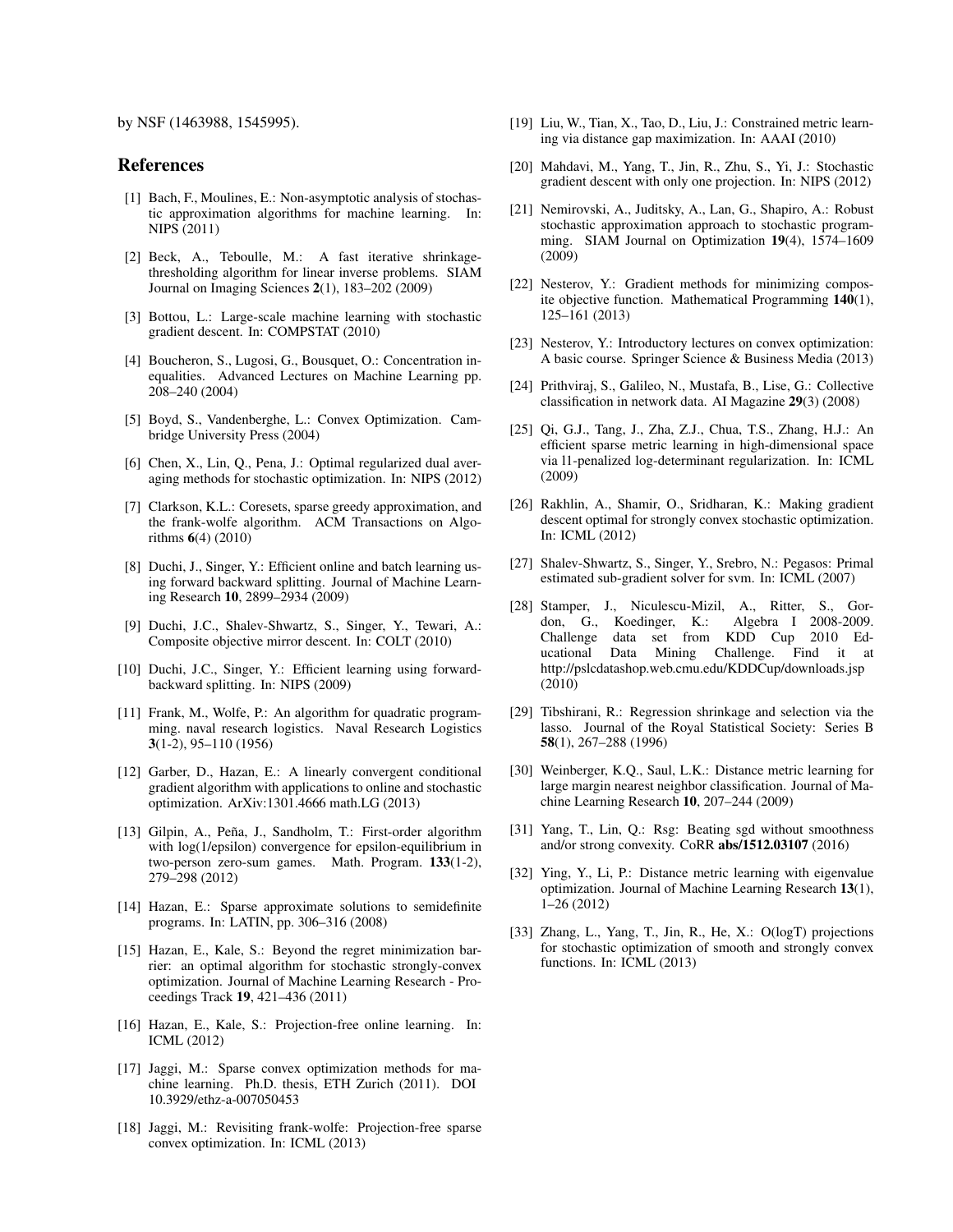by NSF (1463988, 1545995).

### References

- [1] Bach, F., Moulines, E.: Non-asymptotic analysis of stochastic approximation algorithms for machine learning. In: NIPS (2011)
- [2] Beck, A., Teboulle, M.: A fast iterative shrinkagethresholding algorithm for linear inverse problems. SIAM Journal on Imaging Sciences 2(1), 183–202 (2009)
- [3] Bottou, L.: Large-scale machine learning with stochastic gradient descent. In: COMPSTAT (2010)
- [4] Boucheron, S., Lugosi, G., Bousquet, O.: Concentration inequalities. Advanced Lectures on Machine Learning pp. 208–240 (2004)
- [5] Boyd, S., Vandenberghe, L.: Convex Optimization. Cambridge University Press (2004)
- [6] Chen, X., Lin, Q., Pena, J.: Optimal regularized dual averaging methods for stochastic optimization. In: NIPS (2012)
- [7] Clarkson, K.L.: Coresets, sparse greedy approximation, and the frank-wolfe algorithm. ACM Transactions on Algorithms 6(4) (2010)
- [8] Duchi, J., Singer, Y.: Efficient online and batch learning using forward backward splitting. Journal of Machine Learning Research 10, 2899–2934 (2009)
- [9] Duchi, J.C., Shalev-Shwartz, S., Singer, Y., Tewari, A.: Composite objective mirror descent. In: COLT (2010)
- [10] Duchi, J.C., Singer, Y.: Efficient learning using forwardbackward splitting. In: NIPS (2009)
- [11] Frank, M., Wolfe, P.: An algorithm for quadratic programming. naval research logistics. Naval Research Logistics 3(1-2), 95–110 (1956)
- [12] Garber, D., Hazan, E.: A linearly convergent conditional gradient algorithm with applications to online and stochastic optimization. ArXiv:1301.4666 math.LG (2013)
- [13] Gilpin, A., Peña, J., Sandholm, T.: First-order algorithm with log(1/epsilon) convergence for epsilon-equilibrium in two-person zero-sum games. Math. Program.  $133(1-2)$ , 279–298 (2012)
- [14] Hazan, E.: Sparse approximate solutions to semidefinite programs. In: LATIN, pp. 306–316 (2008)
- [15] Hazan, E., Kale, S.: Beyond the regret minimization barrier: an optimal algorithm for stochastic strongly-convex optimization. Journal of Machine Learning Research - Proceedings Track 19, 421–436 (2011)
- [16] Hazan, E., Kale, S.: Projection-free online learning. In: ICML (2012)
- [17] Jaggi, M.: Sparse convex optimization methods for machine learning. Ph.D. thesis, ETH Zurich (2011). DOI 10.3929/ethz-a-007050453
- [18] Jaggi, M.: Revisiting frank-wolfe: Projection-free sparse convex optimization. In: ICML (2013)
- [19] Liu, W., Tian, X., Tao, D., Liu, J.: Constrained metric learning via distance gap maximization. In: AAAI (2010)
- [20] Mahdavi, M., Yang, T., Jin, R., Zhu, S., Yi, J.: Stochastic gradient descent with only one projection. In: NIPS (2012)
- [21] Nemirovski, A., Juditsky, A., Lan, G., Shapiro, A.: Robust stochastic approximation approach to stochastic programming. SIAM Journal on Optimization 19(4), 1574–1609 (2009)
- [22] Nesterov, Y.: Gradient methods for minimizing composite objective function. Mathematical Programming 140(1), 125–161 (2013)
- [23] Nesterov, Y.: Introductory lectures on convex optimization: A basic course. Springer Science & Business Media (2013)
- [24] Prithviraj, S., Galileo, N., Mustafa, B., Lise, G.: Collective classification in network data. AI Magazine 29(3) (2008)
- [25] Qi, G.J., Tang, J., Zha, Z.J., Chua, T.S., Zhang, H.J.: An efficient sparse metric learning in high-dimensional space via l1-penalized log-determinant regularization. In: ICML (2009)
- [26] Rakhlin, A., Shamir, O., Sridharan, K.: Making gradient descent optimal for strongly convex stochastic optimization. In: ICML (2012)
- [27] Shalev-Shwartz, S., Singer, Y., Srebro, N.: Pegasos: Primal estimated sub-gradient solver for svm. In: ICML (2007)
- [28] Stamper, J., Niculescu-Mizil, A., Ritter, S., Gordon, G., Koedinger, K.: Challenge data set from KDD Cup 2010 Educational Data Mining Challenge. Find it at http://pslcdatashop.web.cmu.edu/KDDCup/downloads.jsp (2010)
- [29] Tibshirani, R.: Regression shrinkage and selection via the lasso. Journal of the Royal Statistical Society: Series B 58(1), 267–288 (1996)
- [30] Weinberger, K.Q., Saul, L.K.: Distance metric learning for large margin nearest neighbor classification. Journal of Machine Learning Research 10, 207–244 (2009)
- [31] Yang, T., Lin, Q.: Rsg: Beating sgd without smoothness and/or strong convexity. CoRR abs/1512.03107 (2016)
- [32] Ying, Y., Li, P.: Distance metric learning with eigenvalue optimization. Journal of Machine Learning Research 13(1), 1–26 (2012)
- [33] Zhang, L., Yang, T., Jin, R., He, X.: O(logT) projections for stochastic optimization of smooth and strongly convex functions. In: ICML (2013)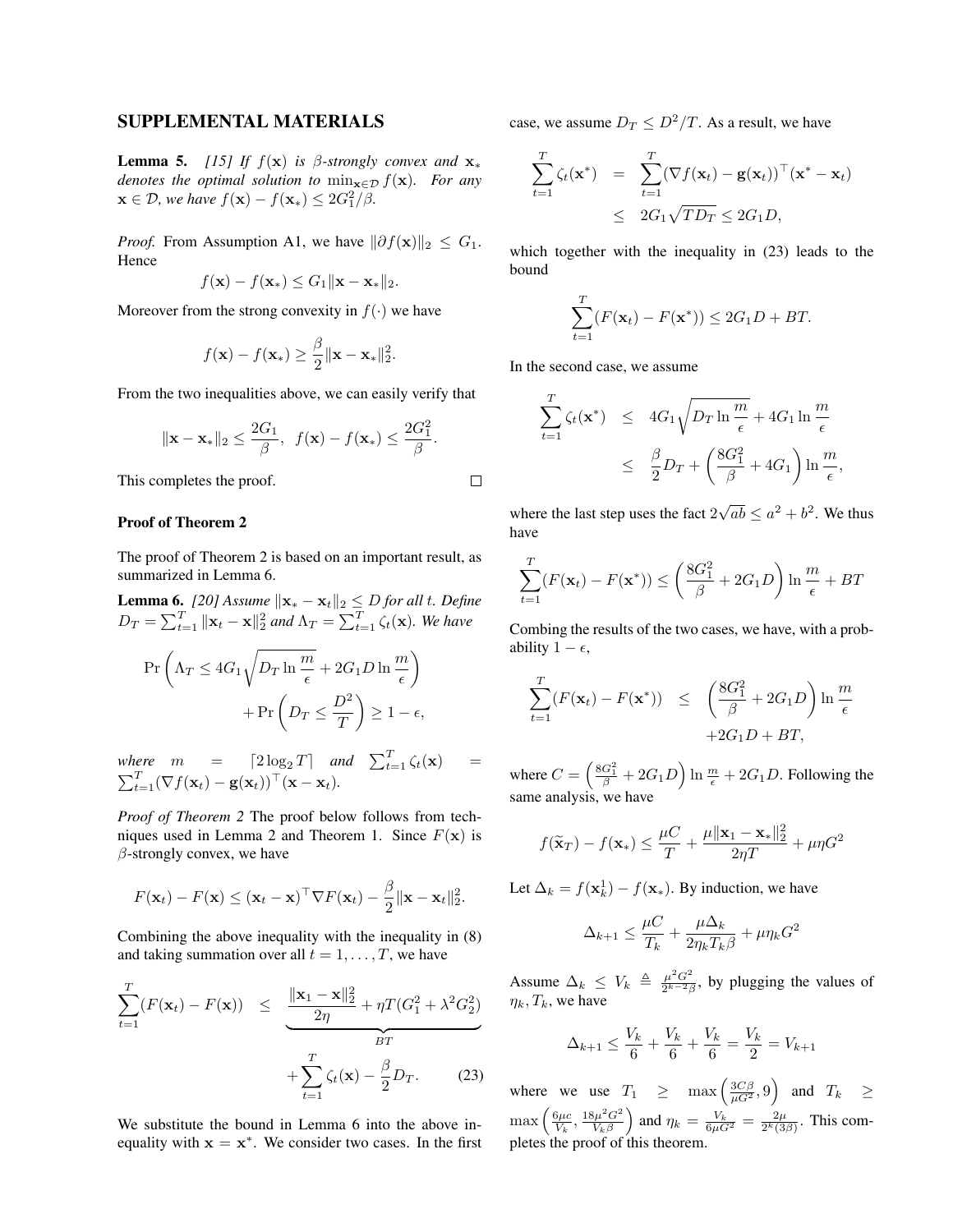## SUPPLEMENTAL MATERIALS

**Lemma 5.** *[15] If*  $f(\mathbf{x})$  *is*  $\beta$ -strongly convex and  $\mathbf{x}_*$ *denotes the optimal solution to*  $\min_{\mathbf{x} \in \mathcal{D}} f(\mathbf{x})$ *. For any*  $\mathbf{x} \in \mathcal{D}$ , we have  $f(\mathbf{x}) - f(\mathbf{x}_*) \leq 2G_1^2/\beta$ .

*Proof.* From Assumption A1, we have  $\|\partial f(\mathbf{x})\|_2 \leq G_1$ . Hence

$$
f(\mathbf{x}) - f(\mathbf{x}_*) \le G_1 \|\mathbf{x} - \mathbf{x}_*\|_2.
$$

Moreover from the strong convexity in  $f(\cdot)$  we have

$$
f(\mathbf{x}) - f(\mathbf{x}_*) \ge \frac{\beta}{2} \|\mathbf{x} - \mathbf{x}_*\|_2^2.
$$

From the two inequalities above, we can easily verify that

$$
\|\mathbf{x} - \mathbf{x}_{*}\|_{2} \le \frac{2G_{1}}{\beta}, \ f(\mathbf{x}) - f(\mathbf{x}_{*}) \le \frac{2G_{1}^{2}}{\beta}.
$$

This completes the proof.

### Proof of Theorem 2

The proof of Theorem 2 is based on an important result, as summarized in Lemma 6.

**Lemma 6.** *[20] Assume*  $\|\mathbf{x}_{*} - \mathbf{x}_{t}\|_{2} \leq D$  *for all t. Define*  $D_T = \sum_{t=1}^T \|\mathbf{x}_t - \mathbf{x}\|_2^2$  and  $\Lambda_T = \sum_{t=1}^T \zeta_t(\mathbf{x})$ *. We have* 

$$
\Pr\left(\Lambda_T \le 4G_1 \sqrt{D_T \ln\frac{m}{\epsilon}} + 2G_1 D \ln\frac{m}{\epsilon}\right) + \Pr\left(D_T \le \frac{D^2}{T}\right) \ge 1 - \epsilon,
$$

*where*  $m = \left[2 \log_2 T\right]$  and  $\sum_{t=1}^T \zeta_t(\mathbf{x}) =$  $\sum_{t=1}^T (\nabla f(\mathbf{x}_t) - \mathbf{g}(\mathbf{x}_t))^{\top} (\mathbf{x} - \mathbf{x}_t).$ 

*Proof of Theorem 2* The proof below follows from techniques used in Lemma 2 and Theorem 1. Since  $F(\mathbf{x})$  is  $\beta$ -strongly convex, we have

$$
F(\mathbf{x}_t) - F(\mathbf{x}) \leq (\mathbf{x}_t - \mathbf{x})^\top \nabla F(\mathbf{x}_t) - \frac{\beta}{2} ||\mathbf{x} - \mathbf{x}_t||_2^2.
$$

Combining the above inequality with the inequality in (8) and taking summation over all  $t = 1, \ldots, T$ , we have

$$
\sum_{t=1}^{T} (F(\mathbf{x}_t) - F(\mathbf{x})) \leq \underbrace{\frac{\|\mathbf{x}_1 - \mathbf{x}\|_2^2}{2\eta} + \eta T(G_1^2 + \lambda^2 G_2^2)}_{BT} + \sum_{t=1}^{T} \zeta_t(\mathbf{x}) - \frac{\beta}{2} D_T.
$$
 (23)

We substitute the bound in Lemma 6 into the above inequality with  $x = x^*$ . We consider two cases. In the first

case, we assume  $D_T \leq D^2/T$ . As a result, we have

$$
\sum_{t=1}^{T} \zeta_t(\mathbf{x}^*) = \sum_{t=1}^{T} (\nabla f(\mathbf{x}_t) - \mathbf{g}(\mathbf{x}_t))^{\top} (\mathbf{x}^* - \mathbf{x}_t)
$$
  
 
$$
\leq 2G_1 \sqrt{T D_T} \leq 2G_1 D,
$$

which together with the inequality in (23) leads to the bound

$$
\sum_{t=1}^{T} (F(\mathbf{x}_t) - F(\mathbf{x}^*)) \le 2G_1D + BT.
$$

In the second case, we assume

 $\Box$ 

$$
\sum_{t=1}^{T} \zeta_t(\mathbf{x}^*) \leq 4G_1 \sqrt{D_T \ln \frac{m}{\epsilon}} + 4G_1 \ln \frac{m}{\epsilon}
$$
  
 
$$
\leq \frac{\beta}{2} D_T + \left(\frac{8G_1^2}{\beta} + 4G_1\right) \ln \frac{m}{\epsilon},
$$

where the last step uses the fact 2 √  $\overline{ab} \le a^2 + b^2$ . We thus have

$$
\sum_{t=1}^{T} (F(\mathbf{x}_t) - F(\mathbf{x}^*)) \le \left(\frac{8G_1^2}{\beta} + 2G_1D\right) \ln \frac{m}{\epsilon} + BT
$$

Combing the results of the two cases, we have, with a probability  $1 - \epsilon$ ,

$$
\sum_{t=1}^{T} (F(\mathbf{x}_t) - F(\mathbf{x}^*)) \leq \left(\frac{8G_1^2}{\beta} + 2G_1D\right) \ln \frac{m}{\epsilon}
$$

$$
+ 2G_1D + BT,
$$

where  $C = \left(\frac{8G_1^2}{\beta} + 2G_1D\right) \ln \frac{m}{\epsilon} + 2G_1D$ . Following the same analysis, we have

$$
f(\widetilde{\mathbf{x}}_T) - f(\mathbf{x}_*) \le \frac{\mu C}{T} + \frac{\mu \|\mathbf{x}_1 - \mathbf{x}_*\|_2^2}{2\eta T} + \mu \eta G^2
$$

Let  $\Delta_k = f(\mathbf{x}_k^1) - f(\mathbf{x}_*)$ . By induction, we have

$$
\Delta_{k+1} \le \frac{\mu C}{T_k} + \frac{\mu \Delta_k}{2\eta_k T_k \beta} + \mu \eta_k G^2
$$

Assume  $\Delta_k \leq V_k \triangleq \frac{\mu^2 G^2}{2^{k-2} \beta}$  $\frac{\mu^{-}G^{-}}{2^{k-2}\beta}$ , by plugging the values of  $\eta_k, T_k$ , we have

$$
\Delta_{k+1} \le \frac{V_k}{6} + \frac{V_k}{6} + \frac{V_k}{6} = \frac{V_k}{2} = V_{k+1}
$$

where we use  $T_1 \geq \max\left(\frac{3C\beta}{\mu G^2}, 9\right)$  and  $T_k \geq$  $\max\left(\frac{6\mu c}{V_k}, \frac{18\mu^2G^2}{V_k\beta}\right)$  $\frac{N_{k}B^{2}G^{2}}{V_{k}\beta}$  and  $\eta_{k}=\frac{V_{k}}{6\mu G^{2}}=\frac{2\mu}{2^{k}(3)}$  $\frac{2\mu}{2^k(3\beta)}$ . This completes the proof of this theorem.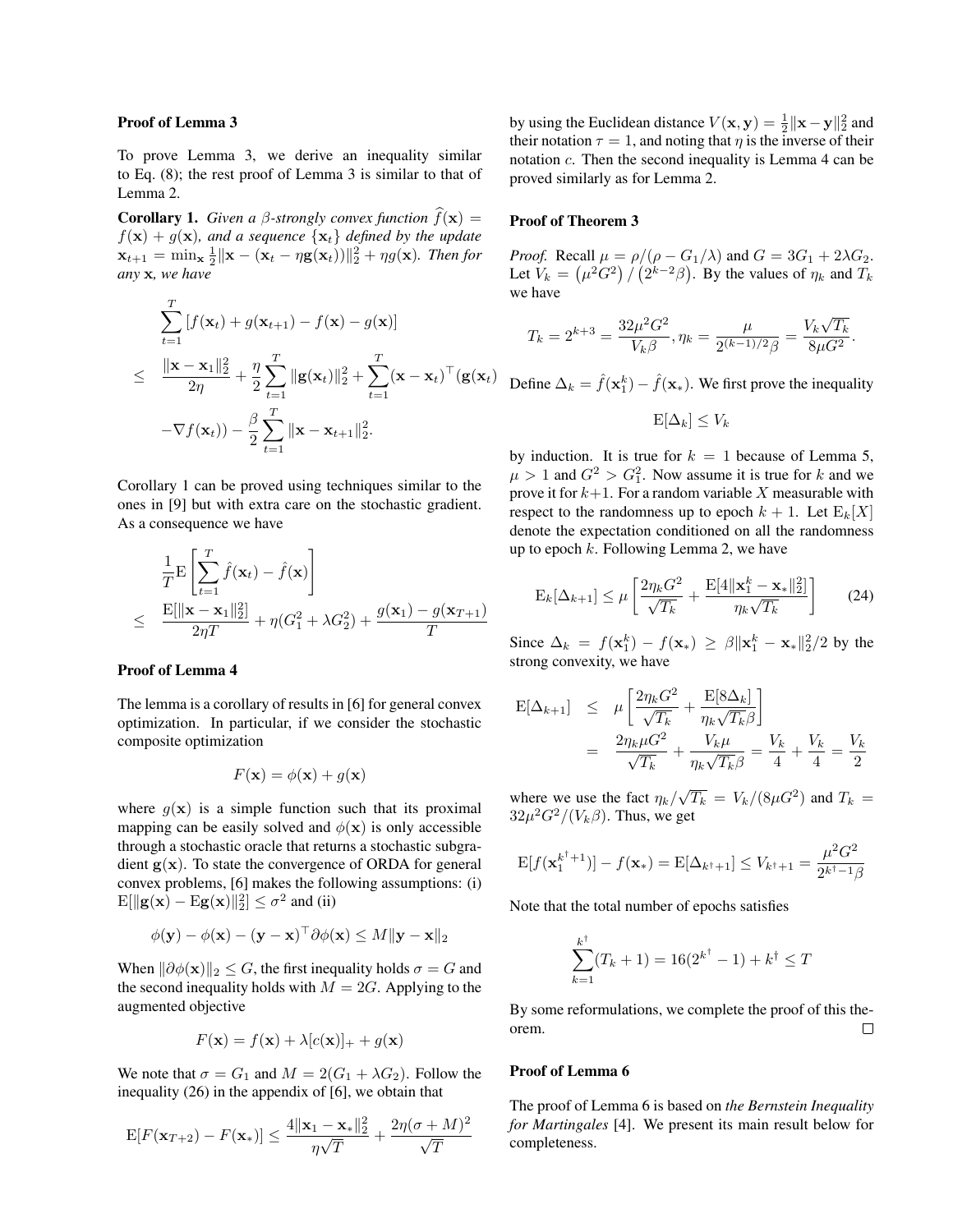#### Proof of Lemma 3

To prove Lemma 3, we derive an inequality similar to Eq. (8); the rest proof of Lemma 3 is similar to that of Lemma 2.

**Corollary 1.** *Given a β-strongly convex function*  $\hat{f}(\mathbf{x}) =$  $f(\mathbf{x}) + g(\mathbf{x})$ *, and a sequence*  $\{\mathbf{x}_t\}$  *defined by the update*  $\mathbf{x}_{t+1} = \min_{\mathbf{x}} \frac{1}{2} \|\mathbf{x} - (\mathbf{x}_t - \eta \mathbf{g}(\mathbf{x}_t))\|_2^2 + \eta g(\mathbf{x})$ *. Then for any* x*, we have*

$$
\sum_{t=1}^{T} [f(\mathbf{x}_t) + g(\mathbf{x}_{t+1}) - f(\mathbf{x}) - g(\mathbf{x})]
$$
\n
$$
\leq \frac{\|\mathbf{x} - \mathbf{x}_1\|_2^2}{2\eta} + \frac{\eta}{2} \sum_{t=1}^{T} \|\mathbf{g}(\mathbf{x}_t)\|_2^2 + \sum_{t=1}^{T} (\mathbf{x} - \mathbf{x}_t)^{\top} (\mathbf{g}(\mathbf{x}_t)) - \nabla f(\mathbf{x}_t)) - \frac{\beta}{2} \sum_{t=1}^{T} \|\mathbf{x} - \mathbf{x}_{t+1}\|_2^2.
$$

Corollary 1 can be proved using techniques similar to the ones in [9] but with extra care on the stochastic gradient. As a consequence we have

$$
\frac{1}{T}\mathbf{E}\left[\sum_{t=1}^{T}\hat{f}(\mathbf{x}_{t}) - \hat{f}(\mathbf{x})\right]
$$
\n
$$
\leq \frac{\mathbf{E}[\|\mathbf{x} - \mathbf{x}_{1}\|_{2}^{2}]}{2\eta T} + \eta(G_{1}^{2} + \lambda G_{2}^{2}) + \frac{g(\mathbf{x}_{1}) - g(\mathbf{x}_{T+1})}{T}
$$

### Proof of Lemma 4

The lemma is a corollary of results in [6] for general convex optimization. In particular, if we consider the stochastic composite optimization

$$
F(\mathbf{x}) = \phi(\mathbf{x}) + g(\mathbf{x})
$$

where  $q(\mathbf{x})$  is a simple function such that its proximal mapping can be easily solved and  $\phi(\mathbf{x})$  is only accessible through a stochastic oracle that returns a stochastic subgradient  $g(x)$ . To state the convergence of ORDA for general convex problems, [6] makes the following assumptions: (i)  $E[\Vert \mathbf{g}(\mathbf{x}) - \mathrm{E}\mathbf{g}(\mathbf{x}) \Vert_2^2] \le \sigma^2$  and (ii)

$$
\phi(\mathbf{y}) - \phi(\mathbf{x}) - (\mathbf{y} - \mathbf{x})^{\top} \partial \phi(\mathbf{x}) \leq M \|\mathbf{y} - \mathbf{x}\|_2
$$

When  $\|\partial \phi(\mathbf{x})\|_2 \leq G$ , the first inequality holds  $\sigma = G$  and the second inequality holds with  $M = 2G$ . Applying to the augmented objective

$$
F(\mathbf{x}) = f(\mathbf{x}) + \lambda [c(\mathbf{x})]_+ + g(\mathbf{x})
$$

We note that  $\sigma = G_1$  and  $M = 2(G_1 + \lambda G_2)$ . Follow the inequality (26) in the appendix of [6], we obtain that

$$
\mathrm{E}[F(\mathbf{x}_{T+2}) - F(\mathbf{x}_{*})] \le \frac{4\|\mathbf{x}_{1} - \mathbf{x}_{*}\|_{2}^{2}}{\eta\sqrt{T}} + \frac{2\eta(\sigma + M)^{2}}{\sqrt{T}}
$$

by using the Euclidean distance  $V(\mathbf{x}, \mathbf{y}) = \frac{1}{2} ||\mathbf{x} - \mathbf{y}||_2^2$  and their notation  $\tau = 1$ , and noting that  $\eta$  is the inverse of their notation c. Then the second inequality is Lemma 4 can be proved similarly as for Lemma 2.

#### Proof of Theorem 3

*Proof.* Recall  $\mu = \rho/(\rho - G_1/\lambda)$  and  $G = 3G_1 + 2\lambda G_2$ . Let  $V_k = (\mu^2 G^2) / (2^{k-2}\beta)$ . By the values of  $\eta_k$  and  $T_k$ we have

$$
T_k = 2^{k+3} = \frac{32\mu^2 G^2}{V_k \beta}, \eta_k = \frac{\mu}{2^{(k-1)/2} \beta} = \frac{V_k \sqrt{T_k}}{8\mu G^2}.
$$

 $\int_{0}^{\top} (\mathbf{g}(\mathbf{x}_t)) \mathbf{f}(\mathbf{x}_t) - \hat{f}(\mathbf{x}_t) - \hat{f}(\mathbf{x}_t))$ . We first prove the inequality

$$
\mathrm{E}[\Delta_k] \leq V_k
$$

by induction. It is true for  $k = 1$  because of Lemma 5,  $\mu > 1$  and  $G^2 > G_1^2$ . Now assume it is true for k and we prove it for  $k+1$ . For a random variable X measurable with respect to the randomness up to epoch  $k + 1$ . Let  $E_k[X]$ denote the expectation conditioned on all the randomness up to epoch  $k$ . Following Lemma 2, we have

$$
\mathcal{E}_k[\Delta_{k+1}] \le \mu \left[ \frac{2\eta_k G^2}{\sqrt{T_k}} + \frac{\mathcal{E}[4\|\mathbf{x}_1^k - \mathbf{x}_*\|_2^2]}{\eta_k \sqrt{T_k}} \right] \tag{24}
$$

Since  $\Delta_k = f(\mathbf{x}_1^k) - f(\mathbf{x}_*) \ge \beta \|\mathbf{x}_1^k - \mathbf{x}_*\|_2^2/2$  by the strong convexity, we have

$$
E[\Delta_{k+1}] \leq \mu \left[ \frac{2\eta_k G^2}{\sqrt{T_k}} + \frac{E[8\Delta_k]}{\eta_k \sqrt{T_k} \beta} \right]
$$
  
= 
$$
\frac{2\eta_k \mu G^2}{\sqrt{T_k}} + \frac{V_k \mu}{\eta_k \sqrt{T_k} \beta} = \frac{V_k}{4} + \frac{V_k}{4} = \frac{V_k}{2}
$$

where we use the fact  $\eta_k/\sqrt{T_k} = V_k/(8\mu G^2)$  and  $T_k =$  $32\mu^2 G^2/(V_k \beta)$ . Thus, we get

$$
E[f(\mathbf{x}_1^{k^{\dagger}+1})] - f(\mathbf{x}_*) = E[\Delta_{k^{\dagger}+1}] \le V_{k^{\dagger}+1} = \frac{\mu^2 G^2}{2^{k^{\dagger}-1}\beta}
$$

Note that the total number of epochs satisfies

$$
\sum_{k=1}^{k^{\dagger}} (T_k + 1) = 16(2^{k^{\dagger}} - 1) + k^{\dagger} \le T
$$

By some reformulations, we complete the proof of this theorem.  $\Box$ 

#### Proof of Lemma 6

The proof of Lemma 6 is based on *the Bernstein Inequality for Martingales* [4]. We present its main result below for completeness.